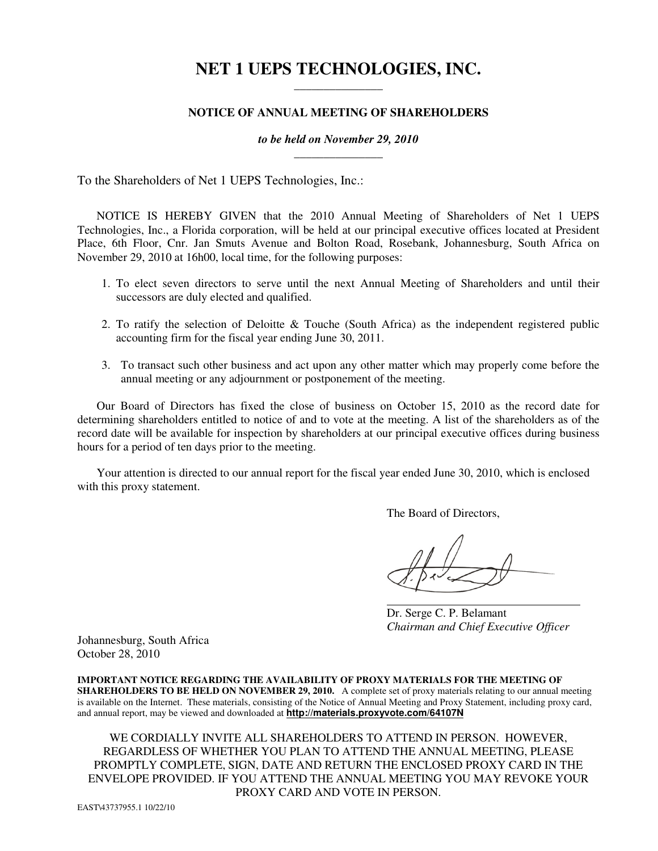# **NET 1 UEPS TECHNOLOGIES, INC.**  \_\_\_\_\_\_\_\_\_\_\_\_\_\_\_

# **NOTICE OF ANNUAL MEETING OF SHAREHOLDERS**

# *to be held on November 29, 2010*  $\overline{\phantom{a}}$  , we can also the contract of  $\overline{\phantom{a}}$

To the Shareholders of Net 1 UEPS Technologies, Inc.:

NOTICE IS HEREBY GIVEN that the 2010 Annual Meeting of Shareholders of Net 1 UEPS Technologies, Inc., a Florida corporation, will be held at our principal executive offices located at President Place, 6th Floor, Cnr. Jan Smuts Avenue and Bolton Road, Rosebank, Johannesburg, South Africa on November 29, 2010 at 16h00, local time, for the following purposes:

- 1. To elect seven directors to serve until the next Annual Meeting of Shareholders and until their successors are duly elected and qualified.
- 2. To ratify the selection of Deloitte & Touche (South Africa) as the independent registered public accounting firm for the fiscal year ending June 30, 2011.
- 3. To transact such other business and act upon any other matter which may properly come before the annual meeting or any adjournment or postponement of the meeting.

Our Board of Directors has fixed the close of business on October 15, 2010 as the record date for determining shareholders entitled to notice of and to vote at the meeting. A list of the shareholders as of the record date will be available for inspection by shareholders at our principal executive offices during business hours for a period of ten days prior to the meeting.

Your attention is directed to our annual report for the fiscal year ended June 30, 2010, which is enclosed with this proxy statement.

The Board of Directors,

 Dr. Serge C. P. Belamant  *Chairman and Chief Executive Officer* 

Johannesburg, South Africa October 28, 2010

**IMPORTANT NOTICE REGARDING THE AVAILABILITY OF PROXY MATERIALS FOR THE MEETING OF SHAREHOLDERS TO BE HELD ON NOVEMBER 29, 2010.** A complete set of proxy materials relating to our annual meeting is available on the Internet. These materials, consisting of the Notice of Annual Meeting and Proxy Statement, including proxy card, and annual report, may be viewed and downloaded at **http://materials.proxyvote.com/64107N**

WE CORDIALLY INVITE ALL SHAREHOLDERS TO ATTEND IN PERSON. HOWEVER, REGARDLESS OF WHETHER YOU PLAN TO ATTEND THE ANNUAL MEETING, PLEASE PROMPTLY COMPLETE, SIGN, DATE AND RETURN THE ENCLOSED PROXY CARD IN THE ENVELOPE PROVIDED. IF YOU ATTEND THE ANNUAL MEETING YOU MAY REVOKE YOUR PROXY CARD AND VOTE IN PERSON.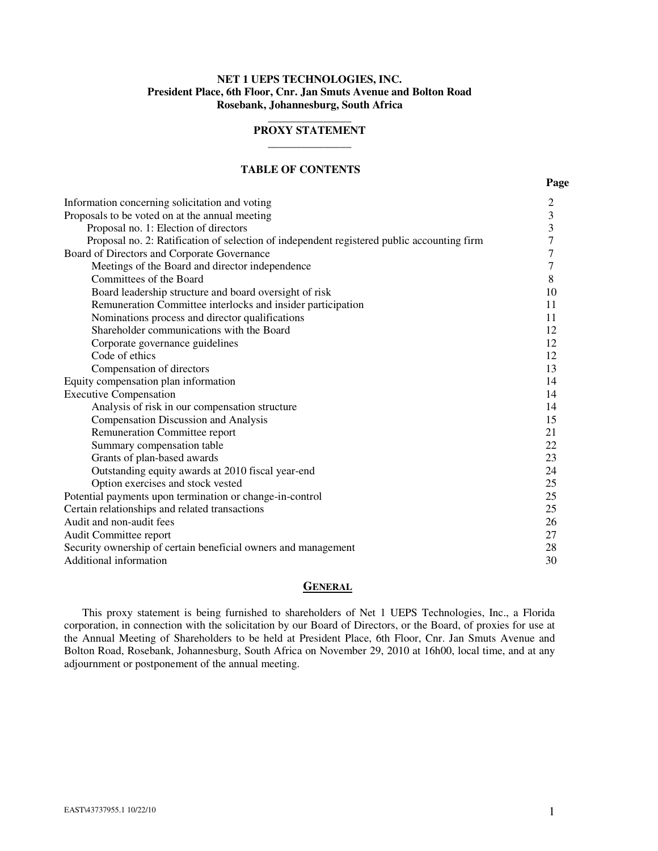# **NET 1 UEPS TECHNOLOGIES, INC. President Place, 6th Floor, Cnr. Jan Smuts Avenue and Bolton Road Rosebank, Johannesburg, South Africa**

# $\overline{\phantom{a}}$  , where the contract of the contract of  $\overline{\phantom{a}}$ **PROXY STATEMENT \_\_\_\_\_\_\_\_\_\_\_\_\_\_\_**

# **TABLE OF CONTENTS**

| Information concerning solicitation and voting                                             | $\overline{c}$   |
|--------------------------------------------------------------------------------------------|------------------|
| Proposals to be voted on at the annual meeting                                             | 3                |
| Proposal no. 1: Election of directors                                                      | 3                |
| Proposal no. 2: Ratification of selection of independent registered public accounting firm | $\boldsymbol{7}$ |
| Board of Directors and Corporate Governance                                                | 7                |
| Meetings of the Board and director independence                                            | $\tau$           |
| Committees of the Board                                                                    | 8                |
| Board leadership structure and board oversight of risk                                     | 10               |
| Remuneration Committee interlocks and insider participation                                | 11               |
| Nominations process and director qualifications                                            | 11               |
| Shareholder communications with the Board                                                  | 12               |
| Corporate governance guidelines                                                            | 12               |
| Code of ethics                                                                             | 12               |
| Compensation of directors                                                                  | 13               |
| Equity compensation plan information                                                       | 14               |
| <b>Executive Compensation</b>                                                              | 14               |
| Analysis of risk in our compensation structure                                             | 14               |
| <b>Compensation Discussion and Analysis</b>                                                | 15               |
| Remuneration Committee report                                                              | 21               |
| Summary compensation table                                                                 | 22               |
| Grants of plan-based awards                                                                | 23               |
| Outstanding equity awards at 2010 fiscal year-end                                          | 24               |
| Option exercises and stock vested                                                          | 25               |
| Potential payments upon termination or change-in-control                                   | 25               |
| Certain relationships and related transactions                                             | 25               |
| Audit and non-audit fees                                                                   | 26               |
| Audit Committee report                                                                     | 27               |
| Security ownership of certain beneficial owners and management                             | 28               |

Additional information 30

### **GENERAL**

This proxy statement is being furnished to shareholders of Net 1 UEPS Technologies, Inc., a Florida corporation, in connection with the solicitation by our Board of Directors, or the Board, of proxies for use at the Annual Meeting of Shareholders to be held at President Place, 6th Floor, Cnr. Jan Smuts Avenue and Bolton Road, Rosebank, Johannesburg, South Africa on November 29, 2010 at 16h00, local time, and at any adjournment or postponement of the annual meeting.

**Page**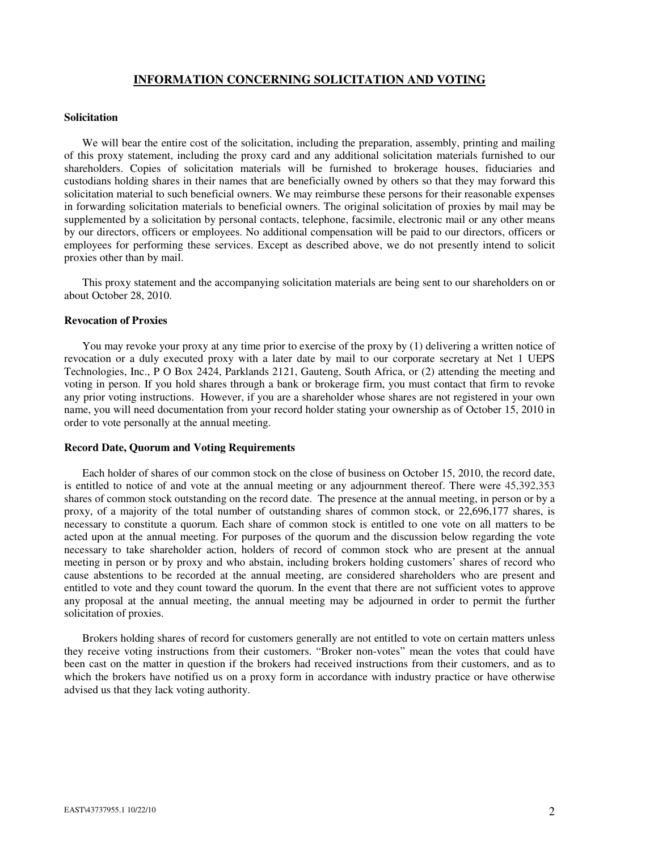# **INFORMATION CONCERNING SOLICITATION AND VOTING**

#### **Solicitation**

We will bear the entire cost of the solicitation, including the preparation, assembly, printing and mailing of this proxy statement, including the proxy card and any additional solicitation materials furnished to our shareholders. Copies of solicitation materials will be furnished to brokerage houses, fiduciaries and custodians holding shares in their names that are beneficially owned by others so that they may forward this solicitation material to such beneficial owners. We may reimburse these persons for their reasonable expenses in forwarding solicitation materials to beneficial owners. The original solicitation of proxies by mail may be supplemented by a solicitation by personal contacts, telephone, facsimile, electronic mail or any other means by our directors, officers or employees. No additional compensation will be paid to our directors, officers or employees for performing these services. Except as described above, we do not presently intend to solicit proxies other than by mail.

This proxy statement and the accompanying solicitation materials are being sent to our shareholders on or about October 28, 2010.

### **Revocation of Proxies**

You may revoke your proxy at any time prior to exercise of the proxy by (1) delivering a written notice of revocation or a duly executed proxy with a later date by mail to our corporate secretary at Net 1 UEPS Technologies, Inc., P O Box 2424, Parklands 2121, Gauteng, South Africa, or (2) attending the meeting and voting in person. If you hold shares through a bank or brokerage firm, you must contact that firm to revoke any prior voting instructions. However, if you are a shareholder whose shares are not registered in your own name, you will need documentation from your record holder stating your ownership as of October 15, 2010 in order to vote personally at the annual meeting.

#### **Record Date, Quorum and Voting Requirements**

Each holder of shares of our common stock on the close of business on October 15, 2010, the record date, is entitled to notice of and vote at the annual meeting or any adjournment thereof. There were 45,392,353 shares of common stock outstanding on the record date. The presence at the annual meeting, in person or by a proxy, of a majority of the total number of outstanding shares of common stock, or 22,696,177 shares, is necessary to constitute a quorum. Each share of common stock is entitled to one vote on all matters to be acted upon at the annual meeting. For purposes of the quorum and the discussion below regarding the vote necessary to take shareholder action, holders of record of common stock who are present at the annual meeting in person or by proxy and who abstain, including brokers holding customers' shares of record who cause abstentions to be recorded at the annual meeting, are considered shareholders who are present and entitled to vote and they count toward the quorum. In the event that there are not sufficient votes to approve any proposal at the annual meeting, the annual meeting may be adjourned in order to permit the further solicitation of proxies.

Brokers holding shares of record for customers generally are not entitled to vote on certain matters unless they receive voting instructions from their customers. "Broker non-votes" mean the votes that could have been cast on the matter in question if the brokers had received instructions from their customers, and as to which the brokers have notified us on a proxy form in accordance with industry practice or have otherwise advised us that they lack voting authority.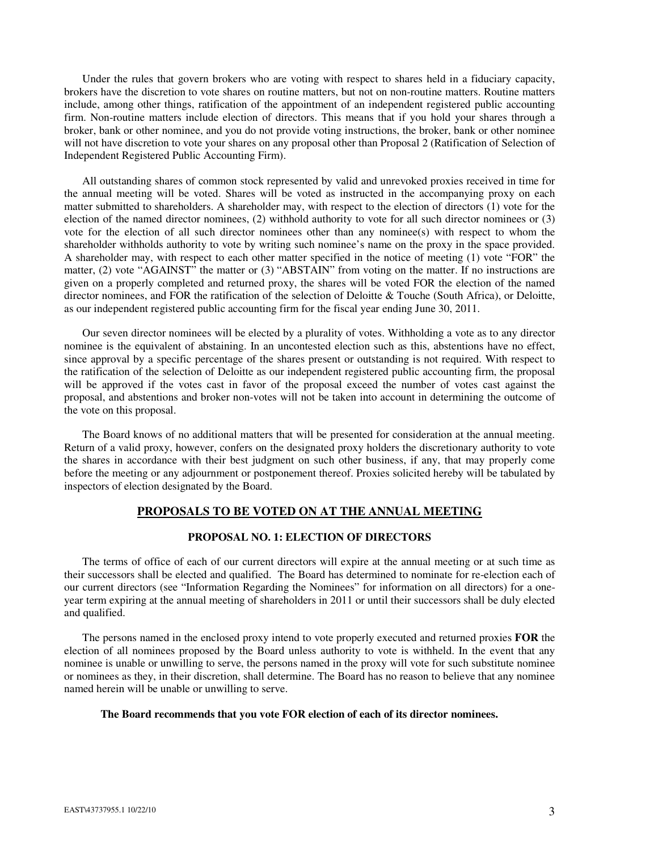Under the rules that govern brokers who are voting with respect to shares held in a fiduciary capacity, brokers have the discretion to vote shares on routine matters, but not on non-routine matters. Routine matters include, among other things, ratification of the appointment of an independent registered public accounting firm. Non-routine matters include election of directors. This means that if you hold your shares through a broker, bank or other nominee, and you do not provide voting instructions, the broker, bank or other nominee will not have discretion to vote your shares on any proposal other than Proposal 2 (Ratification of Selection of Independent Registered Public Accounting Firm).

All outstanding shares of common stock represented by valid and unrevoked proxies received in time for the annual meeting will be voted. Shares will be voted as instructed in the accompanying proxy on each matter submitted to shareholders. A shareholder may, with respect to the election of directors (1) vote for the election of the named director nominees, (2) withhold authority to vote for all such director nominees or (3) vote for the election of all such director nominees other than any nominee(s) with respect to whom the shareholder withholds authority to vote by writing such nominee's name on the proxy in the space provided. A shareholder may, with respect to each other matter specified in the notice of meeting (1) vote "FOR" the matter, (2) vote "AGAINST" the matter or (3) "ABSTAIN" from voting on the matter. If no instructions are given on a properly completed and returned proxy, the shares will be voted FOR the election of the named director nominees, and FOR the ratification of the selection of Deloitte & Touche (South Africa), or Deloitte, as our independent registered public accounting firm for the fiscal year ending June 30, 2011.

Our seven director nominees will be elected by a plurality of votes. Withholding a vote as to any director nominee is the equivalent of abstaining. In an uncontested election such as this, abstentions have no effect, since approval by a specific percentage of the shares present or outstanding is not required. With respect to the ratification of the selection of Deloitte as our independent registered public accounting firm, the proposal will be approved if the votes cast in favor of the proposal exceed the number of votes cast against the proposal, and abstentions and broker non-votes will not be taken into account in determining the outcome of the vote on this proposal.

The Board knows of no additional matters that will be presented for consideration at the annual meeting. Return of a valid proxy, however, confers on the designated proxy holders the discretionary authority to vote the shares in accordance with their best judgment on such other business, if any, that may properly come before the meeting or any adjournment or postponement thereof. Proxies solicited hereby will be tabulated by inspectors of election designated by the Board.

# **PROPOSALS TO BE VOTED ON AT THE ANNUAL MEETING**

# **PROPOSAL NO. 1: ELECTION OF DIRECTORS**

The terms of office of each of our current directors will expire at the annual meeting or at such time as their successors shall be elected and qualified. The Board has determined to nominate for re-election each of our current directors (see "Information Regarding the Nominees" for information on all directors) for a oneyear term expiring at the annual meeting of shareholders in 2011 or until their successors shall be duly elected and qualified.

The persons named in the enclosed proxy intend to vote properly executed and returned proxies **FOR** the election of all nominees proposed by the Board unless authority to vote is withheld. In the event that any nominee is unable or unwilling to serve, the persons named in the proxy will vote for such substitute nominee or nominees as they, in their discretion, shall determine. The Board has no reason to believe that any nominee named herein will be unable or unwilling to serve.

# **The Board recommends that you vote FOR election of each of its director nominees.**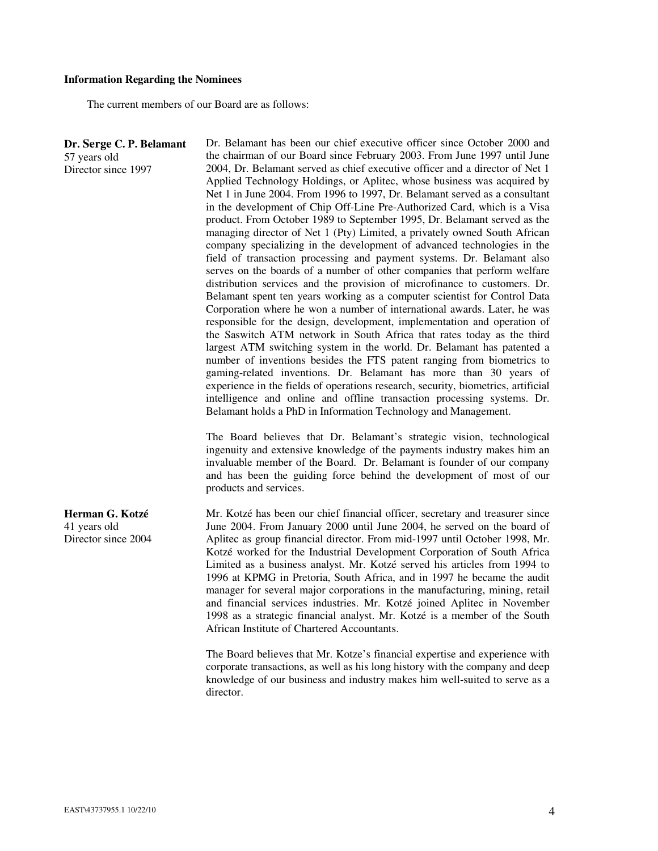#### **Information Regarding the Nominees**

The current members of our Board are as follows:

**Dr. Serge C. P. Belamant**  57 years old Director since 1997 Dr. Belamant has been our chief executive officer since October 2000 and the chairman of our Board since February 2003. From June 1997 until June 2004, Dr. Belamant served as chief executive officer and a director of Net 1 Applied Technology Holdings, or Aplitec, whose business was acquired by Net 1 in June 2004. From 1996 to 1997, Dr. Belamant served as a consultant in the development of Chip Off-Line Pre-Authorized Card, which is a Visa product. From October 1989 to September 1995, Dr. Belamant served as the managing director of Net 1 (Pty) Limited, a privately owned South African company specializing in the development of advanced technologies in the field of transaction processing and payment systems. Dr. Belamant also serves on the boards of a number of other companies that perform welfare distribution services and the provision of microfinance to customers. Dr. Belamant spent ten years working as a computer scientist for Control Data Corporation where he won a number of international awards. Later, he was responsible for the design, development, implementation and operation of the Saswitch ATM network in South Africa that rates today as the third largest ATM switching system in the world. Dr. Belamant has patented a number of inventions besides the FTS patent ranging from biometrics to gaming-related inventions. Dr. Belamant has more than 30 years of experience in the fields of operations research, security, biometrics, artificial intelligence and online and offline transaction processing systems. Dr. Belamant holds a PhD in Information Technology and Management. The Board believes that Dr. Belamant's strategic vision, technological

ingenuity and extensive knowledge of the payments industry makes him an invaluable member of the Board. Dr. Belamant is founder of our company and has been the guiding force behind the development of most of our products and services.

Mr. Kotzé has been our chief financial officer, secretary and treasurer since June 2004. From January 2000 until June 2004, he served on the board of Aplitec as group financial director. From mid-1997 until October 1998, Mr. Kotzé worked for the Industrial Development Corporation of South Africa Limited as a business analyst. Mr. Kotzé served his articles from 1994 to 1996 at KPMG in Pretoria, South Africa, and in 1997 he became the audit manager for several major corporations in the manufacturing, mining, retail and financial services industries. Mr. Kotzé joined Aplitec in November 1998 as a strategic financial analyst. Mr. Kotzé is a member of the South African Institute of Chartered Accountants.

The Board believes that Mr. Kotze's financial expertise and experience with corporate transactions, as well as his long history with the company and deep knowledge of our business and industry makes him well-suited to serve as a director.

**Herman G. Kotzé**  41 years old Director since 2004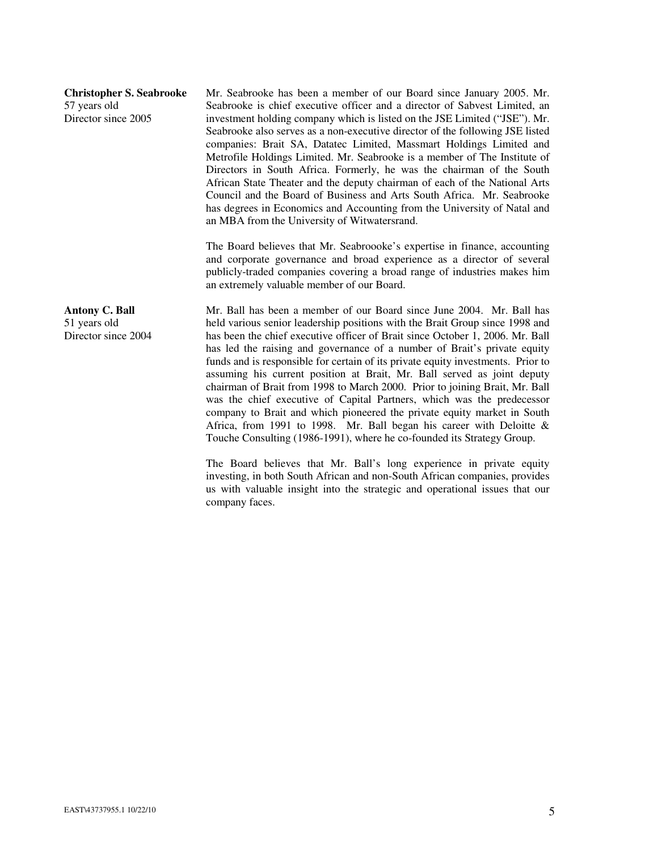| <b>Christopher S. Seabrooke</b><br>57 years old<br>Director since 2005 | Mr. Seabrooke has been a member of our Board since January 2005. Mr.<br>Seabrooke is chief executive officer and a director of Sabvest Limited, an<br>investment holding company which is listed on the JSE Limited ("JSE"). Mr.<br>Seabrooke also serves as a non-executive director of the following JSE listed<br>companies: Brait SA, Datatec Limited, Massmart Holdings Limited and<br>Metrofile Holdings Limited. Mr. Seabrooke is a member of The Institute of<br>Directors in South Africa. Formerly, he was the chairman of the South<br>African State Theater and the deputy chairman of each of the National Arts<br>Council and the Board of Business and Arts South Africa. Mr. Seabrooke<br>has degrees in Economics and Accounting from the University of Natal and<br>an MBA from the University of Witwatersrand.                                                                                                                 |
|------------------------------------------------------------------------|----------------------------------------------------------------------------------------------------------------------------------------------------------------------------------------------------------------------------------------------------------------------------------------------------------------------------------------------------------------------------------------------------------------------------------------------------------------------------------------------------------------------------------------------------------------------------------------------------------------------------------------------------------------------------------------------------------------------------------------------------------------------------------------------------------------------------------------------------------------------------------------------------------------------------------------------------|
|                                                                        | The Board believes that Mr. Seabroooke's expertise in finance, accounting<br>and corporate governance and broad experience as a director of several<br>publicly-traded companies covering a broad range of industries makes him<br>an extremely valuable member of our Board.                                                                                                                                                                                                                                                                                                                                                                                                                                                                                                                                                                                                                                                                      |
| <b>Antony C. Ball</b><br>51 years old<br>Director since 2004           | Mr. Ball has been a member of our Board since June 2004. Mr. Ball has<br>held various senior leadership positions with the Brait Group since 1998 and<br>has been the chief executive officer of Brait since October 1, 2006. Mr. Ball<br>has led the raising and governance of a number of Brait's private equity<br>funds and is responsible for certain of its private equity investments. Prior to<br>assuming his current position at Brait, Mr. Ball served as joint deputy<br>chairman of Brait from 1998 to March 2000. Prior to joining Brait, Mr. Ball<br>was the chief executive of Capital Partners, which was the predecessor<br>company to Brait and which pioneered the private equity market in South<br>Africa, from 1991 to 1998. Mr. Ball began his career with Deloitte $\&$<br>Touche Consulting (1986-1991), where he co-founded its Strategy Group.<br>The Board believes that Mr. Ball's long experience in private equity |
|                                                                        | investing, in both South African and non-South African companies, provides<br>us with valuable insight into the strategic and operational issues that our                                                                                                                                                                                                                                                                                                                                                                                                                                                                                                                                                                                                                                                                                                                                                                                          |

company faces.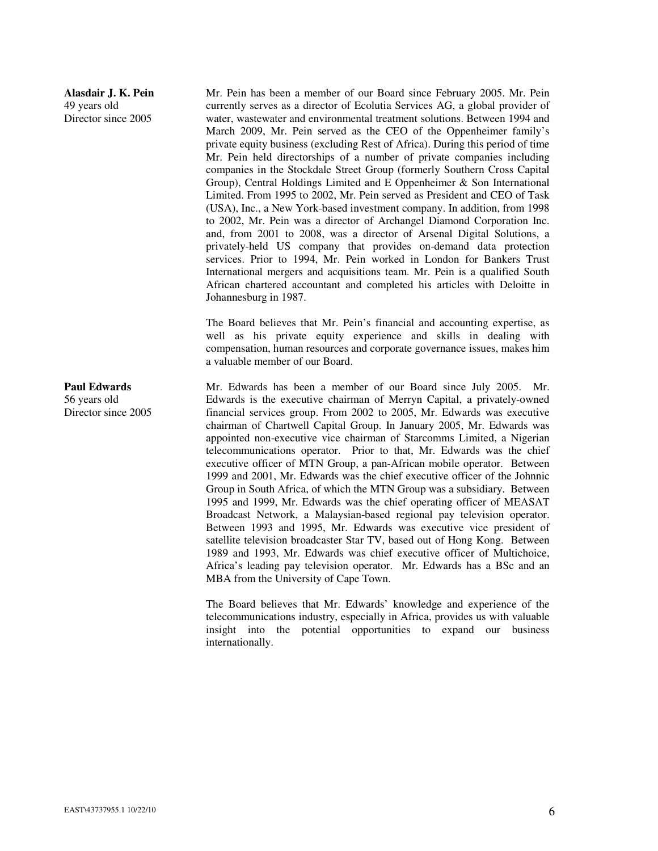# **Alasdair J. K. Pein**  49 years old Director since 2005

Mr. Pein has been a member of our Board since February 2005. Mr. Pein currently serves as a director of Ecolutia Services AG, a global provider of water, wastewater and environmental treatment solutions. Between 1994 and March 2009, Mr. Pein served as the CEO of the Oppenheimer family's private equity business (excluding Rest of Africa). During this period of time Mr. Pein held directorships of a number of private companies including companies in the Stockdale Street Group (formerly Southern Cross Capital Group), Central Holdings Limited and E Oppenheimer & Son International Limited. From 1995 to 2002, Mr. Pein served as President and CEO of Task (USA), Inc., a New York-based investment company. In addition, from 1998 to 2002, Mr. Pein was a director of Archangel Diamond Corporation Inc. and, from 2001 to 2008, was a director of Arsenal Digital Solutions, a privately-held US company that provides on-demand data protection services. Prior to 1994, Mr. Pein worked in London for Bankers Trust International mergers and acquisitions team. Mr. Pein is a qualified South African chartered accountant and completed his articles with Deloitte in Johannesburg in 1987.

The Board believes that Mr. Pein's financial and accounting expertise, as well as his private equity experience and skills in dealing with compensation, human resources and corporate governance issues, makes him a valuable member of our Board.

Mr. Edwards has been a member of our Board since July 2005. Mr. Edwards is the executive chairman of Merryn Capital, a privately-owned financial services group. From 2002 to 2005, Mr. Edwards was executive chairman of Chartwell Capital Group. In January 2005, Mr. Edwards was appointed non-executive vice chairman of Starcomms Limited, a Nigerian telecommunications operator. Prior to that, Mr. Edwards was the chief executive officer of MTN Group, a pan-African mobile operator. Between 1999 and 2001, Mr. Edwards was the chief executive officer of the Johnnic Group in South Africa, of which the MTN Group was a subsidiary. Between 1995 and 1999, Mr. Edwards was the chief operating officer of MEASAT Broadcast Network, a Malaysian-based regional pay television operator. Between 1993 and 1995, Mr. Edwards was executive vice president of satellite television broadcaster Star TV, based out of Hong Kong. Between 1989 and 1993, Mr. Edwards was chief executive officer of Multichoice, Africa's leading pay television operator. Mr. Edwards has a BSc and an MBA from the University of Cape Town.

The Board believes that Mr. Edwards' knowledge and experience of the telecommunications industry, especially in Africa, provides us with valuable insight into the potential opportunities to expand our business internationally.

**Paul Edwards**  56 years old Director since 2005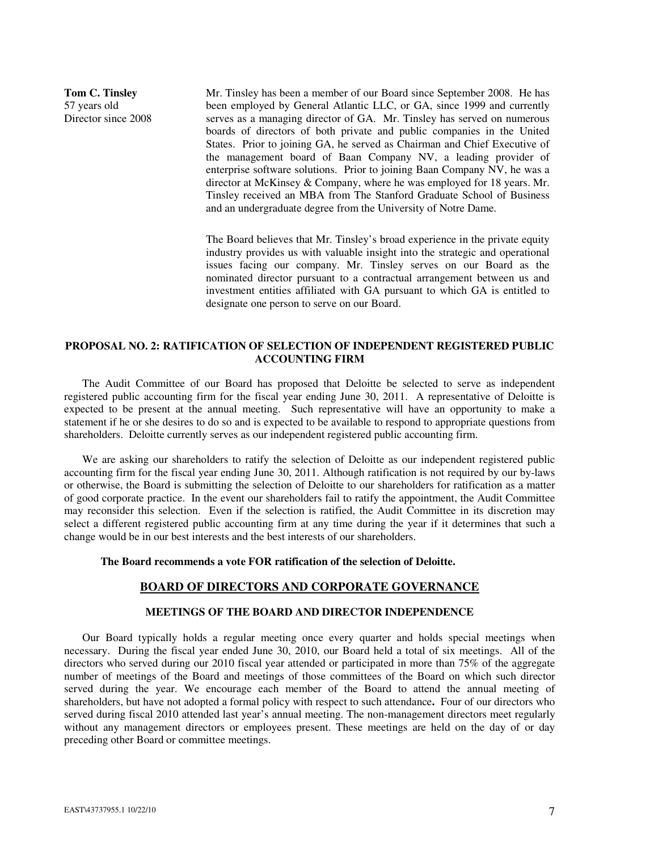**Tom C. Tinsley**  57 years old Director since 2008

Mr. Tinsley has been a member of our Board since September 2008. He has been employed by General Atlantic LLC, or GA, since 1999 and currently serves as a managing director of GA. Mr. Tinsley has served on numerous boards of directors of both private and public companies in the United States. Prior to joining GA, he served as Chairman and Chief Executive of the management board of Baan Company NV, a leading provider of enterprise software solutions. Prior to joining Baan Company NV, he was a director at McKinsey & Company, where he was employed for 18 years. Mr. Tinsley received an MBA from The Stanford Graduate School of Business and an undergraduate degree from the University of Notre Dame.

The Board believes that Mr. Tinsley's broad experience in the private equity industry provides us with valuable insight into the strategic and operational issues facing our company. Mr. Tinsley serves on our Board as the nominated director pursuant to a contractual arrangement between us and investment entities affiliated with GA pursuant to which GA is entitled to designate one person to serve on our Board.

# **PROPOSAL NO. 2: RATIFICATION OF SELECTION OF INDEPENDENT REGISTERED PUBLIC ACCOUNTING FIRM**

The Audit Committee of our Board has proposed that Deloitte be selected to serve as independent registered public accounting firm for the fiscal year ending June 30, 2011. A representative of Deloitte is expected to be present at the annual meeting. Such representative will have an opportunity to make a statement if he or she desires to do so and is expected to be available to respond to appropriate questions from shareholders. Deloitte currently serves as our independent registered public accounting firm.

We are asking our shareholders to ratify the selection of Deloitte as our independent registered public accounting firm for the fiscal year ending June 30, 2011. Although ratification is not required by our by-laws or otherwise, the Board is submitting the selection of Deloitte to our shareholders for ratification as a matter of good corporate practice. In the event our shareholders fail to ratify the appointment, the Audit Committee may reconsider this selection. Even if the selection is ratified, the Audit Committee in its discretion may select a different registered public accounting firm at any time during the year if it determines that such a change would be in our best interests and the best interests of our shareholders.

### **The Board recommends a vote FOR ratification of the selection of Deloitte.**

### **BOARD OF DIRECTORS AND CORPORATE GOVERNANCE**

#### **MEETINGS OF THE BOARD AND DIRECTOR INDEPENDENCE**

Our Board typically holds a regular meeting once every quarter and holds special meetings when necessary. During the fiscal year ended June 30, 2010, our Board held a total of six meetings. All of the directors who served during our 2010 fiscal year attended or participated in more than 75% of the aggregate number of meetings of the Board and meetings of those committees of the Board on which such director served during the year. We encourage each member of the Board to attend the annual meeting of shareholders, but have not adopted a formal policy with respect to such attendance**.** Four of our directors who served during fiscal 2010 attended last year's annual meeting. The non-management directors meet regularly without any management directors or employees present. These meetings are held on the day of or day preceding other Board or committee meetings.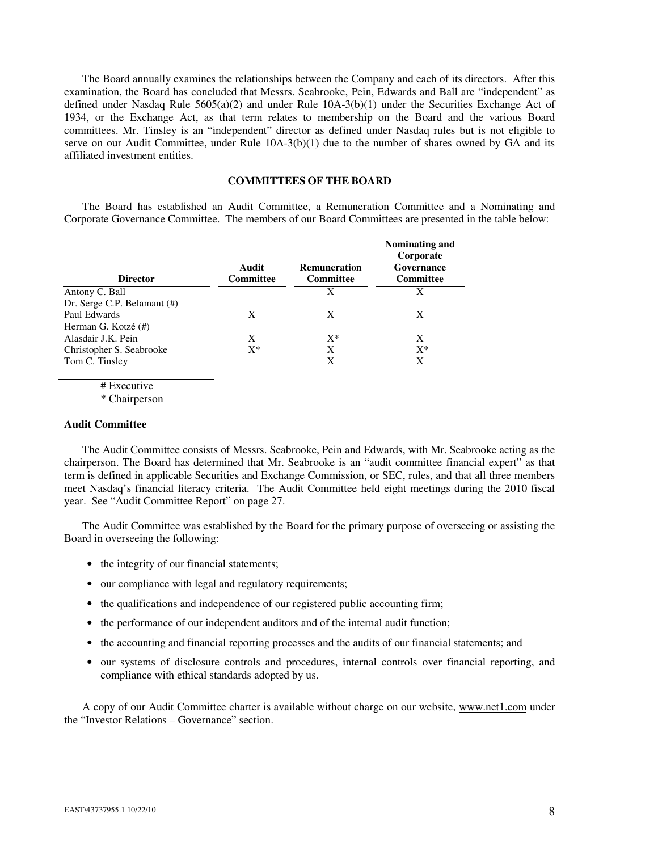The Board annually examines the relationships between the Company and each of its directors. After this examination, the Board has concluded that Messrs. Seabrooke, Pein, Edwards and Ball are "independent" as defined under Nasdaq Rule 5605(a)(2) and under Rule 10A-3(b)(1) under the Securities Exchange Act of 1934, or the Exchange Act, as that term relates to membership on the Board and the various Board committees. Mr. Tinsley is an "independent" director as defined under Nasdaq rules but is not eligible to serve on our Audit Committee, under Rule  $10A-3(b)(1)$  due to the number of shares owned by GA and its affiliated investment entities.

### **COMMITTEES OF THE BOARD**

The Board has established an Audit Committee, a Remuneration Committee and a Nominating and Corporate Governance Committee. The members of our Board Committees are presented in the table below:

| <b>Director</b>             | Audit<br><b>Committee</b> | <b>Remuneration</b><br><b>Committee</b> | Nominating and<br>Corporate<br>Governance<br><b>Committee</b> |
|-----------------------------|---------------------------|-----------------------------------------|---------------------------------------------------------------|
| Antony C. Ball              |                           | X                                       | X                                                             |
| Dr. Serge C.P. Belamant (#) |                           |                                         |                                                               |
| Paul Edwards                | X                         | X                                       | X                                                             |
| Herman G. Kotzé (#)         |                           |                                         |                                                               |
| Alasdair J.K. Pein          | X                         | $X^*$                                   | X                                                             |
| Christopher S. Seabrooke    | $X^*$                     | X                                       | $X^*$                                                         |
| Tom C. Tinsley              |                           | X                                       | X                                                             |
|                             |                           |                                         |                                                               |

# Executive

\* Chairperson

### **Audit Committee**

The Audit Committee consists of Messrs. Seabrooke, Pein and Edwards, with Mr. Seabrooke acting as the chairperson. The Board has determined that Mr. Seabrooke is an "audit committee financial expert" as that term is defined in applicable Securities and Exchange Commission, or SEC, rules, and that all three members meet Nasdaq's financial literacy criteria. The Audit Committee held eight meetings during the 2010 fiscal year. See "Audit Committee Report" on page 27.

The Audit Committee was established by the Board for the primary purpose of overseeing or assisting the Board in overseeing the following:

- the integrity of our financial statements;
- our compliance with legal and regulatory requirements;
- the qualifications and independence of our registered public accounting firm;
- the performance of our independent auditors and of the internal audit function;
- the accounting and financial reporting processes and the audits of our financial statements; and
- our systems of disclosure controls and procedures, internal controls over financial reporting, and compliance with ethical standards adopted by us.

A copy of our Audit Committee charter is available without charge on our website, www.net1.com under the "Investor Relations – Governance" section.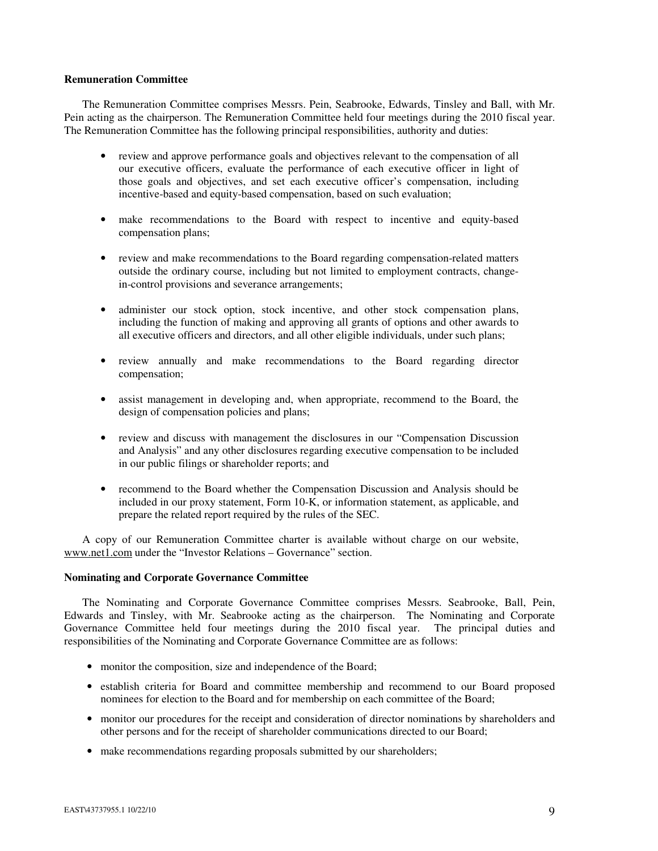### **Remuneration Committee**

The Remuneration Committee comprises Messrs. Pein, Seabrooke, Edwards, Tinsley and Ball, with Mr. Pein acting as the chairperson. The Remuneration Committee held four meetings during the 2010 fiscal year. The Remuneration Committee has the following principal responsibilities, authority and duties:

- review and approve performance goals and objectives relevant to the compensation of all our executive officers, evaluate the performance of each executive officer in light of those goals and objectives, and set each executive officer's compensation, including incentive-based and equity-based compensation, based on such evaluation;
- make recommendations to the Board with respect to incentive and equity-based compensation plans;
- review and make recommendations to the Board regarding compensation-related matters outside the ordinary course, including but not limited to employment contracts, changein-control provisions and severance arrangements;
- administer our stock option, stock incentive, and other stock compensation plans, including the function of making and approving all grants of options and other awards to all executive officers and directors, and all other eligible individuals, under such plans;
- review annually and make recommendations to the Board regarding director compensation;
- assist management in developing and, when appropriate, recommend to the Board, the design of compensation policies and plans;
- review and discuss with management the disclosures in our "Compensation Discussion" and Analysis" and any other disclosures regarding executive compensation to be included in our public filings or shareholder reports; and
- recommend to the Board whether the Compensation Discussion and Analysis should be included in our proxy statement, Form 10-K, or information statement, as applicable, and prepare the related report required by the rules of the SEC.

A copy of our Remuneration Committee charter is available without charge on our website, www.net1.com under the "Investor Relations – Governance" section.

# **Nominating and Corporate Governance Committee**

The Nominating and Corporate Governance Committee comprises Messrs. Seabrooke, Ball, Pein, Edwards and Tinsley, with Mr. Seabrooke acting as the chairperson. The Nominating and Corporate Governance Committee held four meetings during the 2010 fiscal year. The principal duties and responsibilities of the Nominating and Corporate Governance Committee are as follows:

- monitor the composition, size and independence of the Board;
- establish criteria for Board and committee membership and recommend to our Board proposed nominees for election to the Board and for membership on each committee of the Board;
- monitor our procedures for the receipt and consideration of director nominations by shareholders and other persons and for the receipt of shareholder communications directed to our Board;
- make recommendations regarding proposals submitted by our shareholders;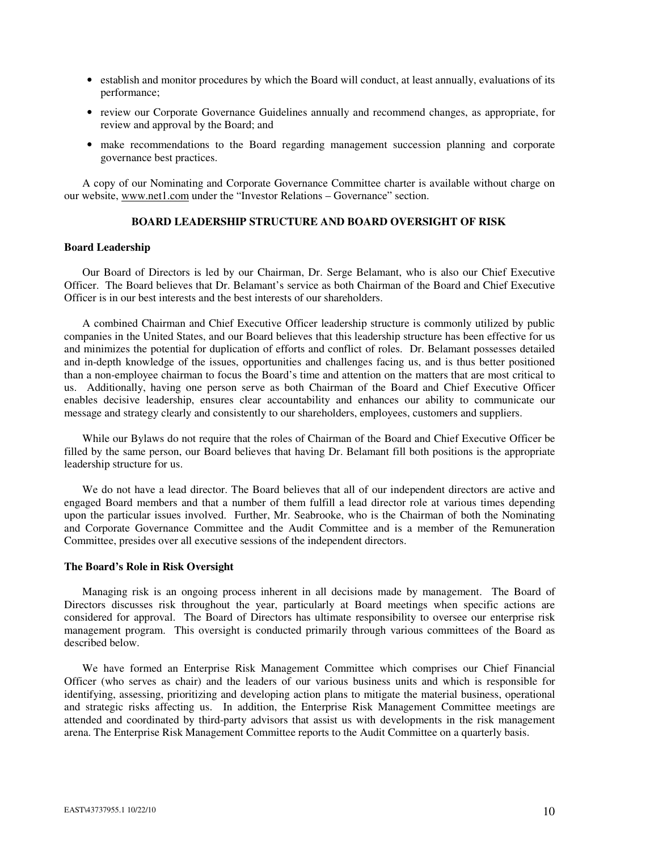- establish and monitor procedures by which the Board will conduct, at least annually, evaluations of its performance;
- review our Corporate Governance Guidelines annually and recommend changes, as appropriate, for review and approval by the Board; and
- make recommendations to the Board regarding management succession planning and corporate governance best practices.

A copy of our Nominating and Corporate Governance Committee charter is available without charge on our website, www.net1.com under the "Investor Relations – Governance" section.

# **BOARD LEADERSHIP STRUCTURE AND BOARD OVERSIGHT OF RISK**

### **Board Leadership**

Our Board of Directors is led by our Chairman, Dr. Serge Belamant, who is also our Chief Executive Officer. The Board believes that Dr. Belamant's service as both Chairman of the Board and Chief Executive Officer is in our best interests and the best interests of our shareholders.

A combined Chairman and Chief Executive Officer leadership structure is commonly utilized by public companies in the United States, and our Board believes that this leadership structure has been effective for us and minimizes the potential for duplication of efforts and conflict of roles. Dr. Belamant possesses detailed and in-depth knowledge of the issues, opportunities and challenges facing us, and is thus better positioned than a non-employee chairman to focus the Board's time and attention on the matters that are most critical to us. Additionally, having one person serve as both Chairman of the Board and Chief Executive Officer enables decisive leadership, ensures clear accountability and enhances our ability to communicate our message and strategy clearly and consistently to our shareholders, employees, customers and suppliers.

While our Bylaws do not require that the roles of Chairman of the Board and Chief Executive Officer be filled by the same person, our Board believes that having Dr. Belamant fill both positions is the appropriate leadership structure for us.

We do not have a lead director. The Board believes that all of our independent directors are active and engaged Board members and that a number of them fulfill a lead director role at various times depending upon the particular issues involved. Further, Mr. Seabrooke, who is the Chairman of both the Nominating and Corporate Governance Committee and the Audit Committee and is a member of the Remuneration Committee, presides over all executive sessions of the independent directors.

# **The Board's Role in Risk Oversight**

Managing risk is an ongoing process inherent in all decisions made by management. The Board of Directors discusses risk throughout the year, particularly at Board meetings when specific actions are considered for approval. The Board of Directors has ultimate responsibility to oversee our enterprise risk management program. This oversight is conducted primarily through various committees of the Board as described below.

We have formed an Enterprise Risk Management Committee which comprises our Chief Financial Officer (who serves as chair) and the leaders of our various business units and which is responsible for identifying, assessing, prioritizing and developing action plans to mitigate the material business, operational and strategic risks affecting us. In addition, the Enterprise Risk Management Committee meetings are attended and coordinated by third-party advisors that assist us with developments in the risk management arena. The Enterprise Risk Management Committee reports to the Audit Committee on a quarterly basis.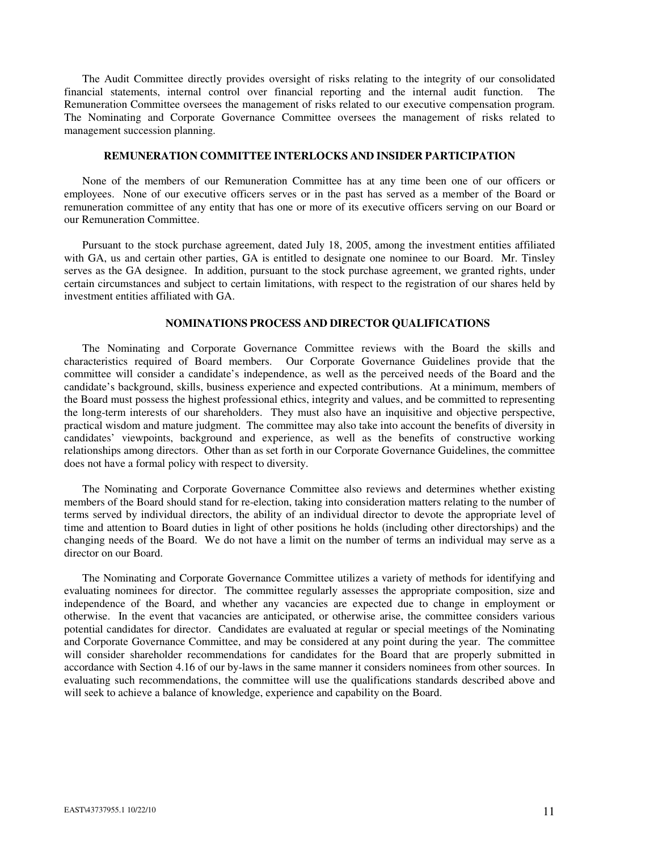The Audit Committee directly provides oversight of risks relating to the integrity of our consolidated financial statements, internal control over financial reporting and the internal audit function. The Remuneration Committee oversees the management of risks related to our executive compensation program. The Nominating and Corporate Governance Committee oversees the management of risks related to management succession planning.

### **REMUNERATION COMMITTEE INTERLOCKS AND INSIDER PARTICIPATION**

None of the members of our Remuneration Committee has at any time been one of our officers or employees. None of our executive officers serves or in the past has served as a member of the Board or remuneration committee of any entity that has one or more of its executive officers serving on our Board or our Remuneration Committee.

Pursuant to the stock purchase agreement, dated July 18, 2005, among the investment entities affiliated with GA, us and certain other parties, GA is entitled to designate one nominee to our Board. Mr. Tinsley serves as the GA designee. In addition, pursuant to the stock purchase agreement, we granted rights, under certain circumstances and subject to certain limitations, with respect to the registration of our shares held by investment entities affiliated with GA.

### **NOMINATIONS PROCESS AND DIRECTOR QUALIFICATIONS**

The Nominating and Corporate Governance Committee reviews with the Board the skills and characteristics required of Board members. Our Corporate Governance Guidelines provide that the committee will consider a candidate's independence, as well as the perceived needs of the Board and the candidate's background, skills, business experience and expected contributions. At a minimum, members of the Board must possess the highest professional ethics, integrity and values, and be committed to representing the long-term interests of our shareholders. They must also have an inquisitive and objective perspective, practical wisdom and mature judgment. The committee may also take into account the benefits of diversity in candidates' viewpoints, background and experience, as well as the benefits of constructive working relationships among directors. Other than as set forth in our Corporate Governance Guidelines, the committee does not have a formal policy with respect to diversity.

The Nominating and Corporate Governance Committee also reviews and determines whether existing members of the Board should stand for re-election, taking into consideration matters relating to the number of terms served by individual directors, the ability of an individual director to devote the appropriate level of time and attention to Board duties in light of other positions he holds (including other directorships) and the changing needs of the Board. We do not have a limit on the number of terms an individual may serve as a director on our Board.

The Nominating and Corporate Governance Committee utilizes a variety of methods for identifying and evaluating nominees for director. The committee regularly assesses the appropriate composition, size and independence of the Board, and whether any vacancies are expected due to change in employment or otherwise. In the event that vacancies are anticipated, or otherwise arise, the committee considers various potential candidates for director. Candidates are evaluated at regular or special meetings of the Nominating and Corporate Governance Committee, and may be considered at any point during the year. The committee will consider shareholder recommendations for candidates for the Board that are properly submitted in accordance with Section 4.16 of our by-laws in the same manner it considers nominees from other sources. In evaluating such recommendations, the committee will use the qualifications standards described above and will seek to achieve a balance of knowledge, experience and capability on the Board.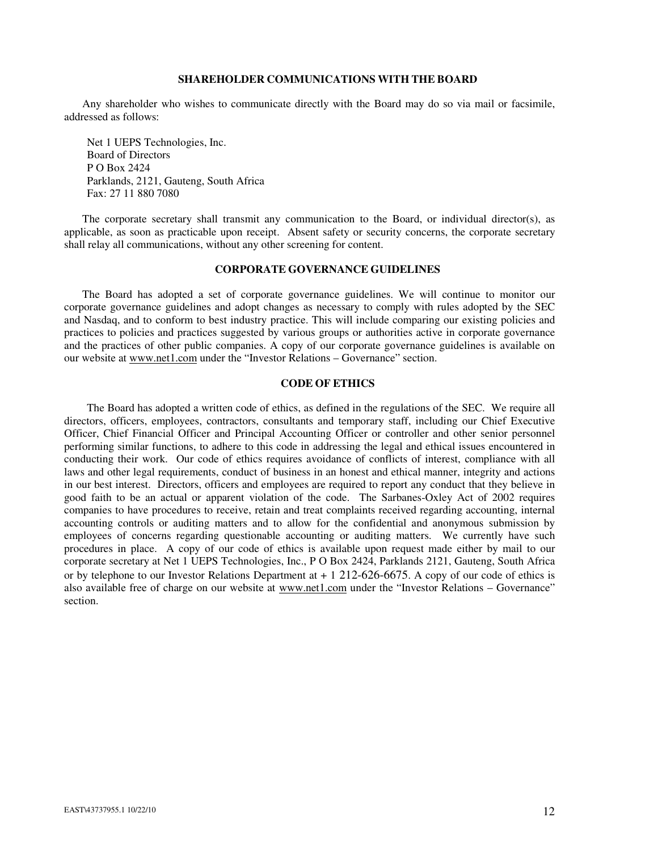### **SHAREHOLDER COMMUNICATIONS WITH THE BOARD**

Any shareholder who wishes to communicate directly with the Board may do so via mail or facsimile, addressed as follows:

Net 1 UEPS Technologies, Inc. Board of Directors P O Box 2424 Parklands, 2121, Gauteng, South Africa Fax: 27 11 880 7080

The corporate secretary shall transmit any communication to the Board, or individual director(s), as applicable, as soon as practicable upon receipt. Absent safety or security concerns, the corporate secretary shall relay all communications, without any other screening for content.

### **CORPORATE GOVERNANCE GUIDELINES**

The Board has adopted a set of corporate governance guidelines. We will continue to monitor our corporate governance guidelines and adopt changes as necessary to comply with rules adopted by the SEC and Nasdaq, and to conform to best industry practice. This will include comparing our existing policies and practices to policies and practices suggested by various groups or authorities active in corporate governance and the practices of other public companies. A copy of our corporate governance guidelines is available on our website at www.net1.com under the "Investor Relations – Governance" section.

# **CODE OF ETHICS**

The Board has adopted a written code of ethics, as defined in the regulations of the SEC. We require all directors, officers, employees, contractors, consultants and temporary staff, including our Chief Executive Officer, Chief Financial Officer and Principal Accounting Officer or controller and other senior personnel performing similar functions, to adhere to this code in addressing the legal and ethical issues encountered in conducting their work. Our code of ethics requires avoidance of conflicts of interest, compliance with all laws and other legal requirements, conduct of business in an honest and ethical manner, integrity and actions in our best interest. Directors, officers and employees are required to report any conduct that they believe in good faith to be an actual or apparent violation of the code. The Sarbanes-Oxley Act of 2002 requires companies to have procedures to receive, retain and treat complaints received regarding accounting, internal accounting controls or auditing matters and to allow for the confidential and anonymous submission by employees of concerns regarding questionable accounting or auditing matters. We currently have such procedures in place. A copy of our code of ethics is available upon request made either by mail to our corporate secretary at Net 1 UEPS Technologies, Inc., P O Box 2424, Parklands 2121, Gauteng, South Africa or by telephone to our Investor Relations Department at  $+1$  212-626-6675. A copy of our code of ethics is also available free of charge on our website at www.net1.com under the "Investor Relations – Governance" section.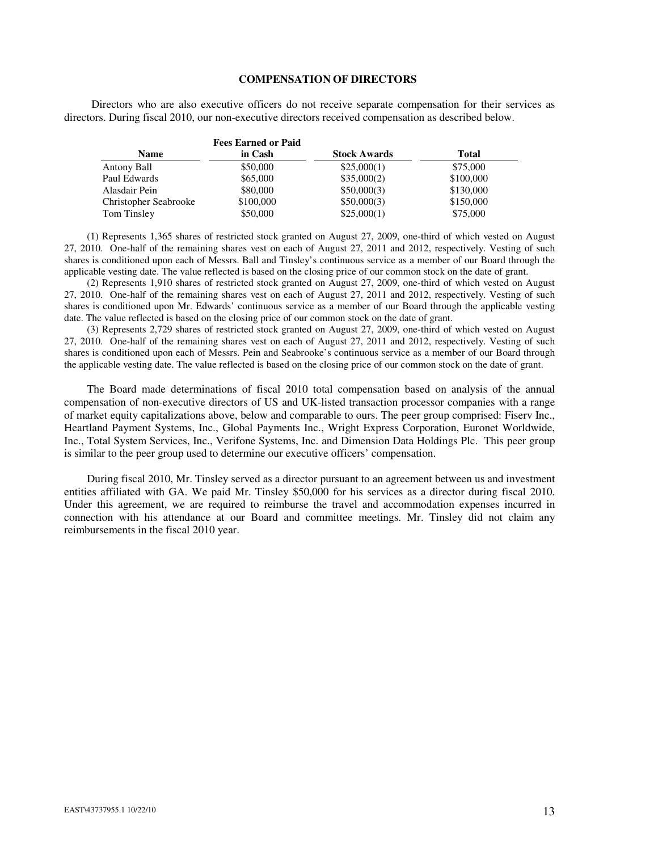### **COMPENSATION OF DIRECTORS**

Directors who are also executive officers do not receive separate compensation for their services as directors. During fiscal 2010, our non-executive directors received compensation as described below.

|                       | <b>Fees Earned or Paid</b> |                     |           |
|-----------------------|----------------------------|---------------------|-----------|
| <b>Name</b>           | in Cash                    | <b>Stock Awards</b> | Total     |
| Antony Ball           | \$50,000                   | \$25,000(1)         | \$75,000  |
| Paul Edwards          | \$65,000                   | \$35,000(2)         | \$100,000 |
| Alasdair Pein         | \$80,000                   | \$50,000(3)         | \$130,000 |
| Christopher Seabrooke | \$100,000                  | \$50,000(3)         | \$150,000 |
| Tom Tinsley           | \$50,000                   | \$25,000(1)         | \$75,000  |

(1) Represents 1,365 shares of restricted stock granted on August 27, 2009, one-third of which vested on August 27, 2010. One-half of the remaining shares vest on each of August 27, 2011 and 2012, respectively. Vesting of such shares is conditioned upon each of Messrs. Ball and Tinsley's continuous service as a member of our Board through the applicable vesting date. The value reflected is based on the closing price of our common stock on the date of grant.

(2) Represents 1,910 shares of restricted stock granted on August 27, 2009, one-third of which vested on August 27, 2010. One-half of the remaining shares vest on each of August 27, 2011 and 2012, respectively. Vesting of such shares is conditioned upon Mr. Edwards' continuous service as a member of our Board through the applicable vesting date. The value reflected is based on the closing price of our common stock on the date of grant.

(3) Represents 2,729 shares of restricted stock granted on August 27, 2009, one-third of which vested on August 27, 2010. One-half of the remaining shares vest on each of August 27, 2011 and 2012, respectively. Vesting of such shares is conditioned upon each of Messrs. Pein and Seabrooke's continuous service as a member of our Board through the applicable vesting date. The value reflected is based on the closing price of our common stock on the date of grant.

The Board made determinations of fiscal 2010 total compensation based on analysis of the annual compensation of non-executive directors of US and UK-listed transaction processor companies with a range of market equity capitalizations above, below and comparable to ours. The peer group comprised: Fiserv Inc., Heartland Payment Systems, Inc., Global Payments Inc., Wright Express Corporation, Euronet Worldwide, Inc., Total System Services, Inc., Verifone Systems, Inc. and Dimension Data Holdings Plc. This peer group is similar to the peer group used to determine our executive officers' compensation.

During fiscal 2010, Mr. Tinsley served as a director pursuant to an agreement between us and investment entities affiliated with GA. We paid Mr. Tinsley \$50,000 for his services as a director during fiscal 2010. Under this agreement, we are required to reimburse the travel and accommodation expenses incurred in connection with his attendance at our Board and committee meetings. Mr. Tinsley did not claim any reimbursements in the fiscal 2010 year.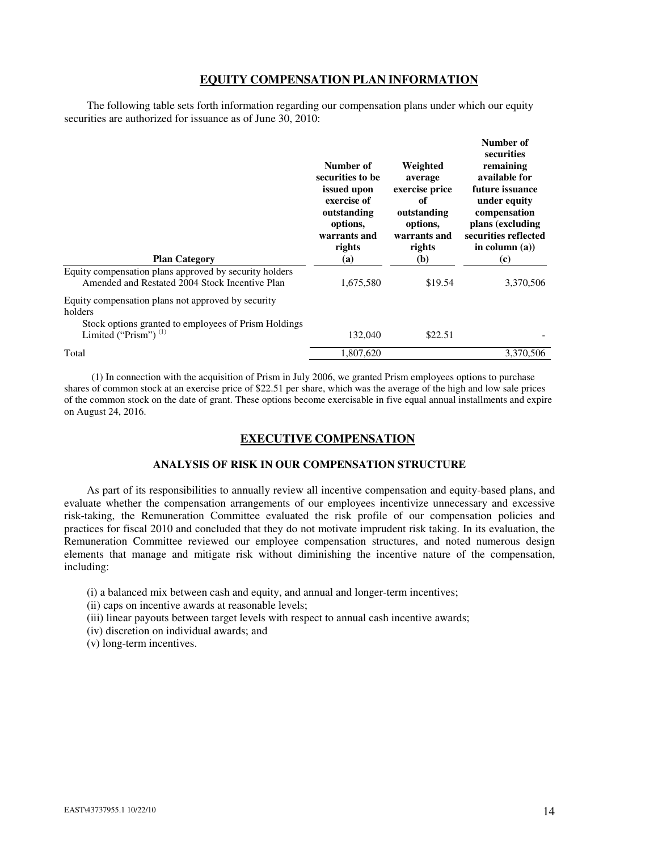# **EQUITY COMPENSATION PLAN INFORMATION**

The following table sets forth information regarding our compensation plans under which our equity securities are authorized for issuance as of June 30, 2010:

|                                                                                                          | Number of<br>securities to be<br>issued upon<br>exercise of<br>outstanding<br>options,<br>warrants and<br>rights | Weighted<br>average<br>exercise price<br>of<br>outstanding<br>options,<br>warrants and<br>rights | Number of<br>securities<br>remaining<br>available for<br>future issuance<br>under equity<br>compensation<br>plans (excluding<br>securities reflected<br>in column $(a)$ ) |
|----------------------------------------------------------------------------------------------------------|------------------------------------------------------------------------------------------------------------------|--------------------------------------------------------------------------------------------------|---------------------------------------------------------------------------------------------------------------------------------------------------------------------------|
| <b>Plan Category</b>                                                                                     | (a)                                                                                                              | (b)                                                                                              | (c)                                                                                                                                                                       |
| Equity compensation plans approved by security holders<br>Amended and Restated 2004 Stock Incentive Plan | 1,675,580                                                                                                        | \$19.54                                                                                          | 3,370,506                                                                                                                                                                 |
| Equity compensation plans not approved by security<br>holders                                            |                                                                                                                  |                                                                                                  |                                                                                                                                                                           |
| Stock options granted to employees of Prism Holdings<br>Limited ("Prism") $(1)$                          | 132,040                                                                                                          | \$22.51                                                                                          |                                                                                                                                                                           |
| Total                                                                                                    | 1.807.620                                                                                                        |                                                                                                  | 3.370.506                                                                                                                                                                 |
|                                                                                                          |                                                                                                                  |                                                                                                  |                                                                                                                                                                           |

(1) In connection with the acquisition of Prism in July 2006, we granted Prism employees options to purchase shares of common stock at an exercise price of \$22.51 per share, which was the average of the high and low sale prices of the common stock on the date of grant. These options become exercisable in five equal annual installments and expire on August 24, 2016.

# **EXECUTIVE COMPENSATION**

# **ANALYSIS OF RISK IN OUR COMPENSATION STRUCTURE**

As part of its responsibilities to annually review all incentive compensation and equity-based plans, and evaluate whether the compensation arrangements of our employees incentivize unnecessary and excessive risk-taking, the Remuneration Committee evaluated the risk profile of our compensation policies and practices for fiscal 2010 and concluded that they do not motivate imprudent risk taking. In its evaluation, the Remuneration Committee reviewed our employee compensation structures, and noted numerous design elements that manage and mitigate risk without diminishing the incentive nature of the compensation, including:

(i) a balanced mix between cash and equity, and annual and longer-term incentives;

- (ii) caps on incentive awards at reasonable levels;
- (iii) linear payouts between target levels with respect to annual cash incentive awards;
- (iv) discretion on individual awards; and
- (v) long-term incentives.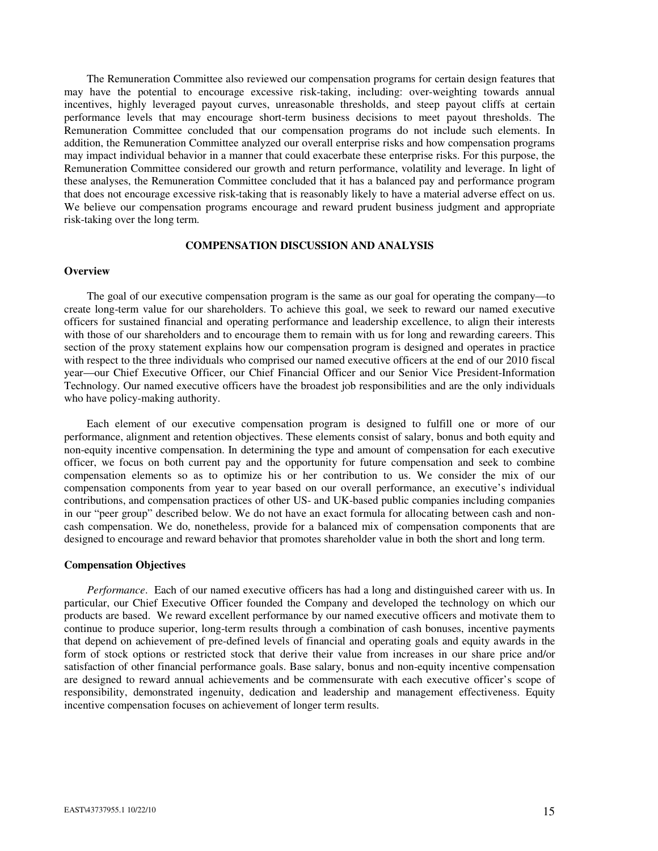The Remuneration Committee also reviewed our compensation programs for certain design features that may have the potential to encourage excessive risk-taking, including: over-weighting towards annual incentives, highly leveraged payout curves, unreasonable thresholds, and steep payout cliffs at certain performance levels that may encourage short-term business decisions to meet payout thresholds. The Remuneration Committee concluded that our compensation programs do not include such elements. In addition, the Remuneration Committee analyzed our overall enterprise risks and how compensation programs may impact individual behavior in a manner that could exacerbate these enterprise risks. For this purpose, the Remuneration Committee considered our growth and return performance, volatility and leverage. In light of these analyses, the Remuneration Committee concluded that it has a balanced pay and performance program that does not encourage excessive risk-taking that is reasonably likely to have a material adverse effect on us. We believe our compensation programs encourage and reward prudent business judgment and appropriate risk-taking over the long term.

# **COMPENSATION DISCUSSION AND ANALYSIS**

### **Overview**

The goal of our executive compensation program is the same as our goal for operating the company—to create long-term value for our shareholders. To achieve this goal, we seek to reward our named executive officers for sustained financial and operating performance and leadership excellence, to align their interests with those of our shareholders and to encourage them to remain with us for long and rewarding careers. This section of the proxy statement explains how our compensation program is designed and operates in practice with respect to the three individuals who comprised our named executive officers at the end of our 2010 fiscal year—our Chief Executive Officer, our Chief Financial Officer and our Senior Vice President-Information Technology. Our named executive officers have the broadest job responsibilities and are the only individuals who have policy-making authority.

Each element of our executive compensation program is designed to fulfill one or more of our performance, alignment and retention objectives. These elements consist of salary, bonus and both equity and non-equity incentive compensation. In determining the type and amount of compensation for each executive officer, we focus on both current pay and the opportunity for future compensation and seek to combine compensation elements so as to optimize his or her contribution to us. We consider the mix of our compensation components from year to year based on our overall performance, an executive's individual contributions, and compensation practices of other US- and UK-based public companies including companies in our "peer group" described below. We do not have an exact formula for allocating between cash and noncash compensation. We do, nonetheless, provide for a balanced mix of compensation components that are designed to encourage and reward behavior that promotes shareholder value in both the short and long term.

#### **Compensation Objectives**

*Performance*. Each of our named executive officers has had a long and distinguished career with us. In particular, our Chief Executive Officer founded the Company and developed the technology on which our products are based. We reward excellent performance by our named executive officers and motivate them to continue to produce superior, long-term results through a combination of cash bonuses, incentive payments that depend on achievement of pre-defined levels of financial and operating goals and equity awards in the form of stock options or restricted stock that derive their value from increases in our share price and/or satisfaction of other financial performance goals. Base salary, bonus and non-equity incentive compensation are designed to reward annual achievements and be commensurate with each executive officer's scope of responsibility, demonstrated ingenuity, dedication and leadership and management effectiveness. Equity incentive compensation focuses on achievement of longer term results.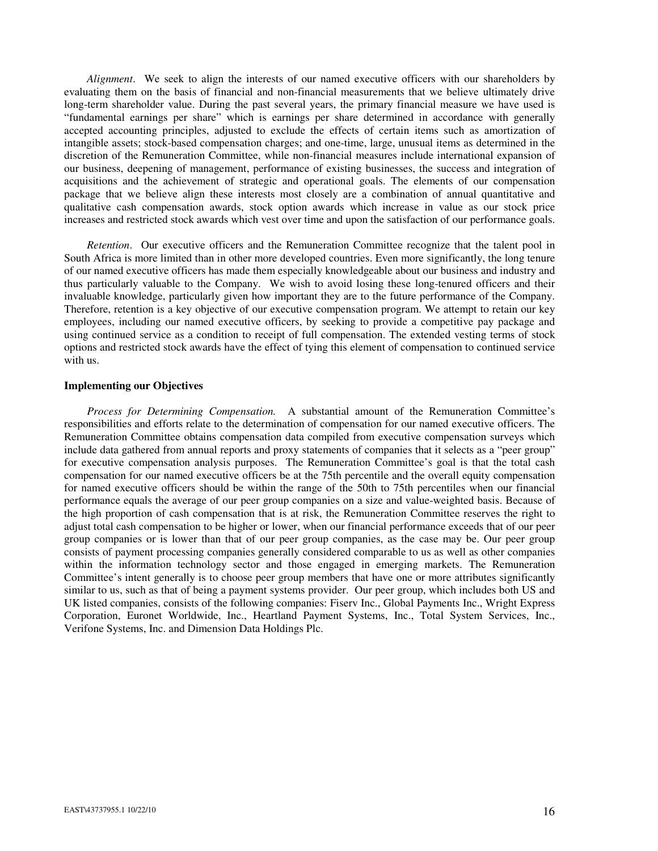*Alignment*. We seek to align the interests of our named executive officers with our shareholders by evaluating them on the basis of financial and non-financial measurements that we believe ultimately drive long-term shareholder value. During the past several years, the primary financial measure we have used is "fundamental earnings per share" which is earnings per share determined in accordance with generally accepted accounting principles, adjusted to exclude the effects of certain items such as amortization of intangible assets; stock-based compensation charges; and one-time, large, unusual items as determined in the discretion of the Remuneration Committee, while non-financial measures include international expansion of our business, deepening of management, performance of existing businesses, the success and integration of acquisitions and the achievement of strategic and operational goals. The elements of our compensation package that we believe align these interests most closely are a combination of annual quantitative and qualitative cash compensation awards, stock option awards which increase in value as our stock price increases and restricted stock awards which vest over time and upon the satisfaction of our performance goals.

*Retention*. Our executive officers and the Remuneration Committee recognize that the talent pool in South Africa is more limited than in other more developed countries. Even more significantly, the long tenure of our named executive officers has made them especially knowledgeable about our business and industry and thus particularly valuable to the Company. We wish to avoid losing these long-tenured officers and their invaluable knowledge, particularly given how important they are to the future performance of the Company. Therefore, retention is a key objective of our executive compensation program. We attempt to retain our key employees, including our named executive officers, by seeking to provide a competitive pay package and using continued service as a condition to receipt of full compensation. The extended vesting terms of stock options and restricted stock awards have the effect of tying this element of compensation to continued service with us.

### **Implementing our Objectives**

*Process for Determining Compensation.* A substantial amount of the Remuneration Committee's responsibilities and efforts relate to the determination of compensation for our named executive officers. The Remuneration Committee obtains compensation data compiled from executive compensation surveys which include data gathered from annual reports and proxy statements of companies that it selects as a "peer group" for executive compensation analysis purposes. The Remuneration Committee's goal is that the total cash compensation for our named executive officers be at the 75th percentile and the overall equity compensation for named executive officers should be within the range of the 50th to 75th percentiles when our financial performance equals the average of our peer group companies on a size and value-weighted basis. Because of the high proportion of cash compensation that is at risk, the Remuneration Committee reserves the right to adjust total cash compensation to be higher or lower, when our financial performance exceeds that of our peer group companies or is lower than that of our peer group companies, as the case may be. Our peer group consists of payment processing companies generally considered comparable to us as well as other companies within the information technology sector and those engaged in emerging markets. The Remuneration Committee's intent generally is to choose peer group members that have one or more attributes significantly similar to us, such as that of being a payment systems provider.Our peer group, which includes both US and UK listed companies, consists of the following companies: Fiserv Inc., Global Payments Inc., Wright Express Corporation, Euronet Worldwide, Inc., Heartland Payment Systems, Inc., Total System Services, Inc., Verifone Systems, Inc. and Dimension Data Holdings Plc.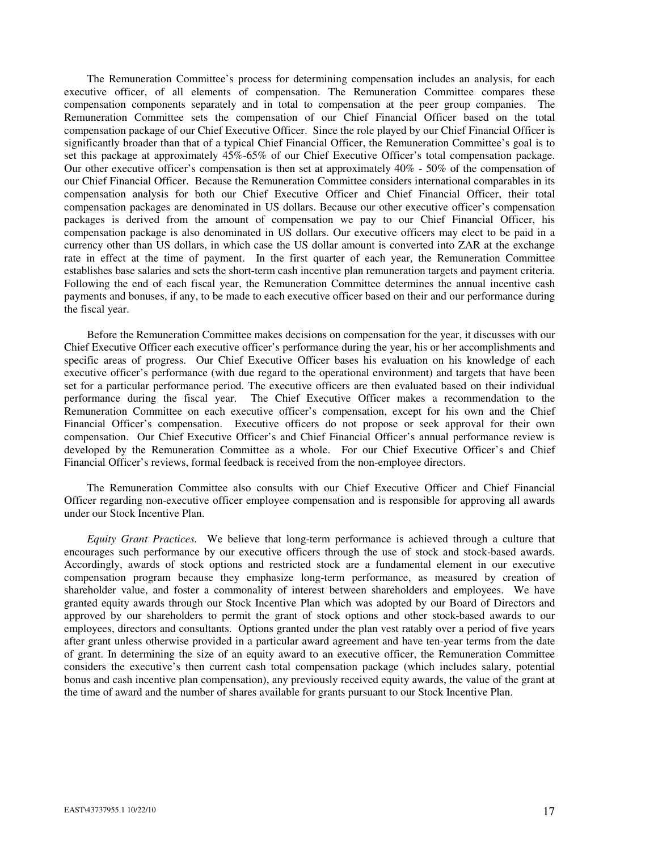The Remuneration Committee's process for determining compensation includes an analysis, for each executive officer, of all elements of compensation. The Remuneration Committee compares these compensation components separately and in total to compensation at the peer group companies. The Remuneration Committee sets the compensation of our Chief Financial Officer based on the total compensation package of our Chief Executive Officer. Since the role played by our Chief Financial Officer is significantly broader than that of a typical Chief Financial Officer, the Remuneration Committee's goal is to set this package at approximately 45%-65% of our Chief Executive Officer's total compensation package. Our other executive officer's compensation is then set at approximately 40% - 50% of the compensation of our Chief Financial Officer. Because the Remuneration Committee considers international comparables in its compensation analysis for both our Chief Executive Officer and Chief Financial Officer, their total compensation packages are denominated in US dollars. Because our other executive officer's compensation packages is derived from the amount of compensation we pay to our Chief Financial Officer, his compensation package is also denominated in US dollars. Our executive officers may elect to be paid in a currency other than US dollars, in which case the US dollar amount is converted into ZAR at the exchange rate in effect at the time of payment. In the first quarter of each year, the Remuneration Committee establishes base salaries and sets the short-term cash incentive plan remuneration targets and payment criteria. Following the end of each fiscal year, the Remuneration Committee determines the annual incentive cash payments and bonuses, if any, to be made to each executive officer based on their and our performance during the fiscal year.

Before the Remuneration Committee makes decisions on compensation for the year, it discusses with our Chief Executive Officer each executive officer's performance during the year, his or her accomplishments and specific areas of progress. Our Chief Executive Officer bases his evaluation on his knowledge of each executive officer's performance (with due regard to the operational environment) and targets that have been set for a particular performance period. The executive officers are then evaluated based on their individual performance during the fiscal year. The Chief Executive Officer makes a recommendation to the Remuneration Committee on each executive officer's compensation, except for his own and the Chief Financial Officer's compensation. Executive officers do not propose or seek approval for their own compensation. Our Chief Executive Officer's and Chief Financial Officer's annual performance review is developed by the Remuneration Committee as a whole. For our Chief Executive Officer's and Chief Financial Officer's reviews, formal feedback is received from the non-employee directors.

The Remuneration Committee also consults with our Chief Executive Officer and Chief Financial Officer regarding non-executive officer employee compensation and is responsible for approving all awards under our Stock Incentive Plan.

*Equity Grant Practices.* We believe that long-term performance is achieved through a culture that encourages such performance by our executive officers through the use of stock and stock-based awards. Accordingly, awards of stock options and restricted stock are a fundamental element in our executive compensation program because they emphasize long-term performance, as measured by creation of shareholder value, and foster a commonality of interest between shareholders and employees. We have granted equity awards through our Stock Incentive Plan which was adopted by our Board of Directors and approved by our shareholders to permit the grant of stock options and other stock-based awards to our employees, directors and consultants. Options granted under the plan vest ratably over a period of five years after grant unless otherwise provided in a particular award agreement and have ten-year terms from the date of grant. In determining the size of an equity award to an executive officer, the Remuneration Committee considers the executive's then current cash total compensation package (which includes salary, potential bonus and cash incentive plan compensation), any previously received equity awards, the value of the grant at the time of award and the number of shares available for grants pursuant to our Stock Incentive Plan.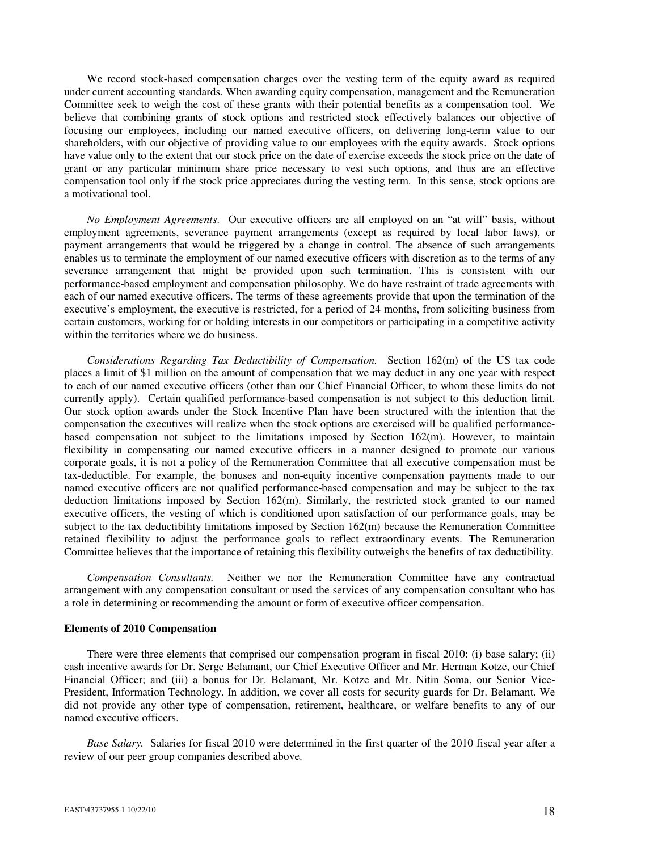We record stock-based compensation charges over the vesting term of the equity award as required under current accounting standards. When awarding equity compensation, management and the Remuneration Committee seek to weigh the cost of these grants with their potential benefits as a compensation tool. We believe that combining grants of stock options and restricted stock effectively balances our objective of focusing our employees, including our named executive officers, on delivering long-term value to our shareholders, with our objective of providing value to our employees with the equity awards. Stock options have value only to the extent that our stock price on the date of exercise exceeds the stock price on the date of grant or any particular minimum share price necessary to vest such options, and thus are an effective compensation tool only if the stock price appreciates during the vesting term. In this sense, stock options are a motivational tool.

*No Employment Agreements*. Our executive officers are all employed on an "at will" basis, without employment agreements, severance payment arrangements (except as required by local labor laws), or payment arrangements that would be triggered by a change in control. The absence of such arrangements enables us to terminate the employment of our named executive officers with discretion as to the terms of any severance arrangement that might be provided upon such termination. This is consistent with our performance-based employment and compensation philosophy. We do have restraint of trade agreements with each of our named executive officers. The terms of these agreements provide that upon the termination of the executive's employment, the executive is restricted, for a period of 24 months, from soliciting business from certain customers, working for or holding interests in our competitors or participating in a competitive activity within the territories where we do business.

*Considerations Regarding Tax Deductibility of Compensation.* Section 162(m) of the US tax code places a limit of \$1 million on the amount of compensation that we may deduct in any one year with respect to each of our named executive officers (other than our Chief Financial Officer, to whom these limits do not currently apply). Certain qualified performance-based compensation is not subject to this deduction limit. Our stock option awards under the Stock Incentive Plan have been structured with the intention that the compensation the executives will realize when the stock options are exercised will be qualified performancebased compensation not subject to the limitations imposed by Section 162(m). However, to maintain flexibility in compensating our named executive officers in a manner designed to promote our various corporate goals, it is not a policy of the Remuneration Committee that all executive compensation must be tax-deductible. For example, the bonuses and non-equity incentive compensation payments made to our named executive officers are not qualified performance-based compensation and may be subject to the tax deduction limitations imposed by Section 162(m). Similarly, the restricted stock granted to our named executive officers, the vesting of which is conditioned upon satisfaction of our performance goals, may be subject to the tax deductibility limitations imposed by Section 162(m) because the Remuneration Committee retained flexibility to adjust the performance goals to reflect extraordinary events. The Remuneration Committee believes that the importance of retaining this flexibility outweighs the benefits of tax deductibility.

*Compensation Consultants.* Neither we nor the Remuneration Committee have any contractual arrangement with any compensation consultant or used the services of any compensation consultant who has a role in determining or recommending the amount or form of executive officer compensation.

#### **Elements of 2010 Compensation**

There were three elements that comprised our compensation program in fiscal 2010: (i) base salary; (ii) cash incentive awards for Dr. Serge Belamant, our Chief Executive Officer and Mr. Herman Kotze, our Chief Financial Officer; and (iii) a bonus for Dr. Belamant, Mr. Kotze and Mr. Nitin Soma, our Senior Vice-President, Information Technology. In addition, we cover all costs for security guards for Dr. Belamant. We did not provide any other type of compensation, retirement, healthcare, or welfare benefits to any of our named executive officers.

*Base Salary.* Salaries for fiscal 2010 were determined in the first quarter of the 2010 fiscal year after a review of our peer group companies described above.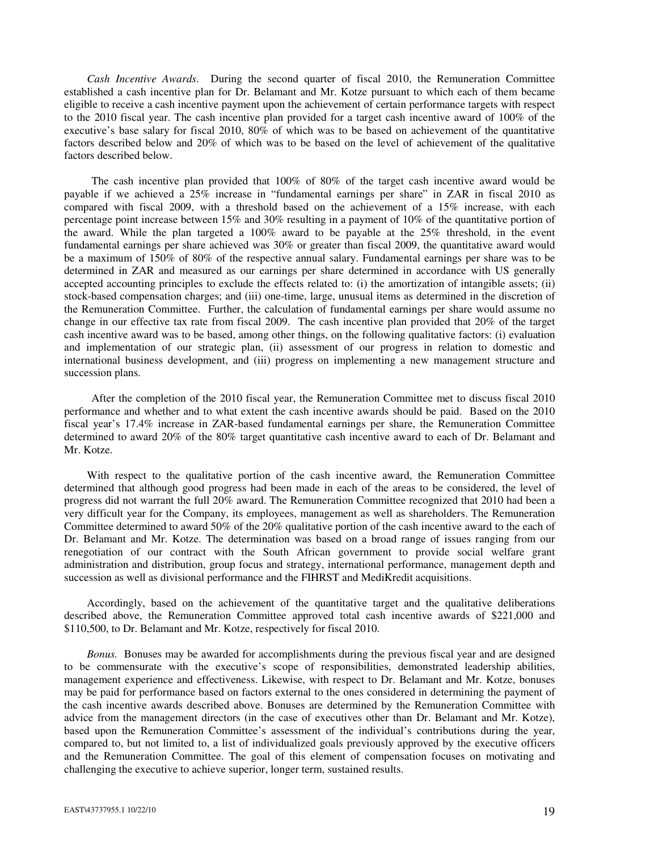*Cash Incentive Awards*. During the second quarter of fiscal 2010, the Remuneration Committee established a cash incentive plan for Dr. Belamant and Mr. Kotze pursuant to which each of them became eligible to receive a cash incentive payment upon the achievement of certain performance targets with respect to the 2010 fiscal year. The cash incentive plan provided for a target cash incentive award of 100% of the executive's base salary for fiscal 2010, 80% of which was to be based on achievement of the quantitative factors described below and 20% of which was to be based on the level of achievement of the qualitative factors described below.

The cash incentive plan provided that 100% of 80% of the target cash incentive award would be payable if we achieved a 25% increase in "fundamental earnings per share" in ZAR in fiscal 2010 as compared with fiscal 2009, with a threshold based on the achievement of a 15% increase, with each percentage point increase between 15% and 30% resulting in a payment of 10% of the quantitative portion of the award. While the plan targeted a 100% award to be payable at the 25% threshold, in the event fundamental earnings per share achieved was 30% or greater than fiscal 2009, the quantitative award would be a maximum of 150% of 80% of the respective annual salary. Fundamental earnings per share was to be determined in ZAR and measured as our earnings per share determined in accordance with US generally accepted accounting principles to exclude the effects related to: (i) the amortization of intangible assets; (ii) stock-based compensation charges; and (iii) one-time, large, unusual items as determined in the discretion of the Remuneration Committee. Further, the calculation of fundamental earnings per share would assume no change in our effective tax rate from fiscal 2009. The cash incentive plan provided that 20% of the target cash incentive award was to be based, among other things, on the following qualitative factors: (i) evaluation and implementation of our strategic plan, (ii) assessment of our progress in relation to domestic and international business development, and (iii) progress on implementing a new management structure and succession plans.

After the completion of the 2010 fiscal year, the Remuneration Committee met to discuss fiscal 2010 performance and whether and to what extent the cash incentive awards should be paid. Based on the 2010 fiscal year's 17.4% increase in ZAR-based fundamental earnings per share, the Remuneration Committee determined to award 20% of the 80% target quantitative cash incentive award to each of Dr. Belamant and Mr. Kotze.

With respect to the qualitative portion of the cash incentive award, the Remuneration Committee determined that although good progress had been made in each of the areas to be considered, the level of progress did not warrant the full 20% award. The Remuneration Committee recognized that 2010 had been a very difficult year for the Company, its employees, management as well as shareholders. The Remuneration Committee determined to award 50% of the 20% qualitative portion of the cash incentive award to the each of Dr. Belamant and Mr. Kotze. The determination was based on a broad range of issues ranging from our renegotiation of our contract with the South African government to provide social welfare grant administration and distribution, group focus and strategy, international performance, management depth and succession as well as divisional performance and the FIHRST and MediKredit acquisitions.

Accordingly, based on the achievement of the quantitative target and the qualitative deliberations described above, the Remuneration Committee approved total cash incentive awards of \$221,000 and \$110,500, to Dr. Belamant and Mr. Kotze, respectively for fiscal 2010.

*Bonus.* Bonuses may be awarded for accomplishments during the previous fiscal year and are designed to be commensurate with the executive's scope of responsibilities, demonstrated leadership abilities, management experience and effectiveness. Likewise, with respect to Dr. Belamant and Mr. Kotze, bonuses may be paid for performance based on factors external to the ones considered in determining the payment of the cash incentive awards described above. Bonuses are determined by the Remuneration Committee with advice from the management directors (in the case of executives other than Dr. Belamant and Mr. Kotze), based upon the Remuneration Committee's assessment of the individual's contributions during the year, compared to, but not limited to, a list of individualized goals previously approved by the executive officers and the Remuneration Committee. The goal of this element of compensation focuses on motivating and challenging the executive to achieve superior, longer term, sustained results.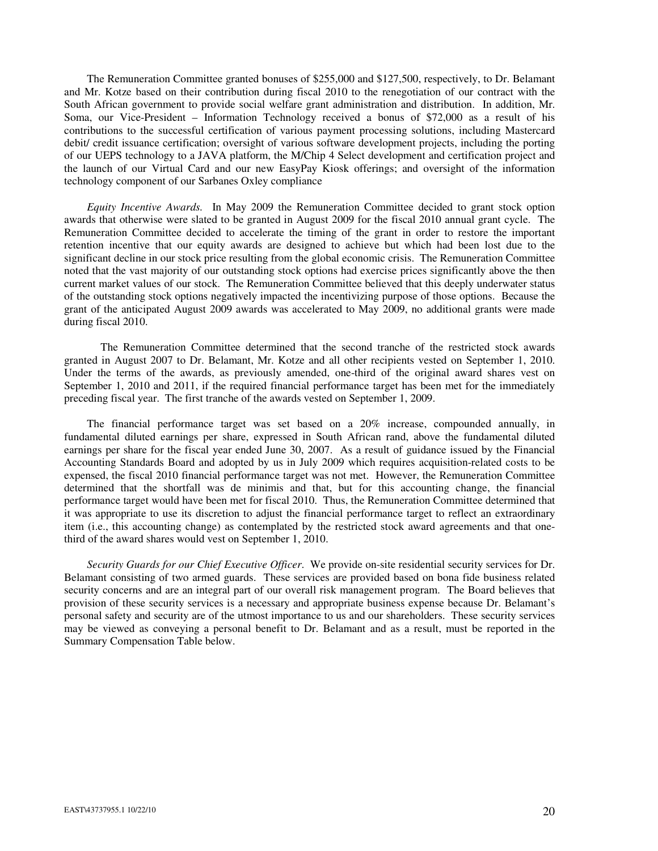The Remuneration Committee granted bonuses of \$255,000 and \$127,500, respectively, to Dr. Belamant and Mr. Kotze based on their contribution during fiscal 2010 to the renegotiation of our contract with the South African government to provide social welfare grant administration and distribution. In addition, Mr. Soma, our Vice-President – Information Technology received a bonus of \$72,000 as a result of his contributions to the successful certification of various payment processing solutions, including Mastercard debit/ credit issuance certification; oversight of various software development projects, including the porting of our UEPS technology to a JAVA platform, the M/Chip 4 Select development and certification project and the launch of our Virtual Card and our new EasyPay Kiosk offerings; and oversight of the information technology component of our Sarbanes Oxley compliance

*Equity Incentive Awards.* In May 2009 the Remuneration Committee decided to grant stock option awards that otherwise were slated to be granted in August 2009 for the fiscal 2010 annual grant cycle. The Remuneration Committee decided to accelerate the timing of the grant in order to restore the important retention incentive that our equity awards are designed to achieve but which had been lost due to the significant decline in our stock price resulting from the global economic crisis. The Remuneration Committee noted that the vast majority of our outstanding stock options had exercise prices significantly above the then current market values of our stock. The Remuneration Committee believed that this deeply underwater status of the outstanding stock options negatively impacted the incentivizing purpose of those options. Because the grant of the anticipated August 2009 awards was accelerated to May 2009, no additional grants were made during fiscal 2010.

The Remuneration Committee determined that the second tranche of the restricted stock awards granted in August 2007 to Dr. Belamant, Mr. Kotze and all other recipients vested on September 1, 2010. Under the terms of the awards, as previously amended, one-third of the original award shares vest on September 1, 2010 and 2011, if the required financial performance target has been met for the immediately preceding fiscal year. The first tranche of the awards vested on September 1, 2009.

The financial performance target was set based on a 20% increase, compounded annually, in fundamental diluted earnings per share, expressed in South African rand, above the fundamental diluted earnings per share for the fiscal year ended June 30, 2007. As a result of guidance issued by the Financial Accounting Standards Board and adopted by us in July 2009 which requires acquisition-related costs to be expensed, the fiscal 2010 financial performance target was not met. However, the Remuneration Committee determined that the shortfall was de minimis and that, but for this accounting change, the financial performance target would have been met for fiscal 2010. Thus, the Remuneration Committee determined that it was appropriate to use its discretion to adjust the financial performance target to reflect an extraordinary item (i.e., this accounting change) as contemplated by the restricted stock award agreements and that onethird of the award shares would vest on September 1, 2010.

*Security Guards for our Chief Executive Officer*. We provide on-site residential security services for Dr. Belamant consisting of two armed guards. These services are provided based on bona fide business related security concerns and are an integral part of our overall risk management program. The Board believes that provision of these security services is a necessary and appropriate business expense because Dr. Belamant's personal safety and security are of the utmost importance to us and our shareholders. These security services may be viewed as conveying a personal benefit to Dr. Belamant and as a result, must be reported in the Summary Compensation Table below.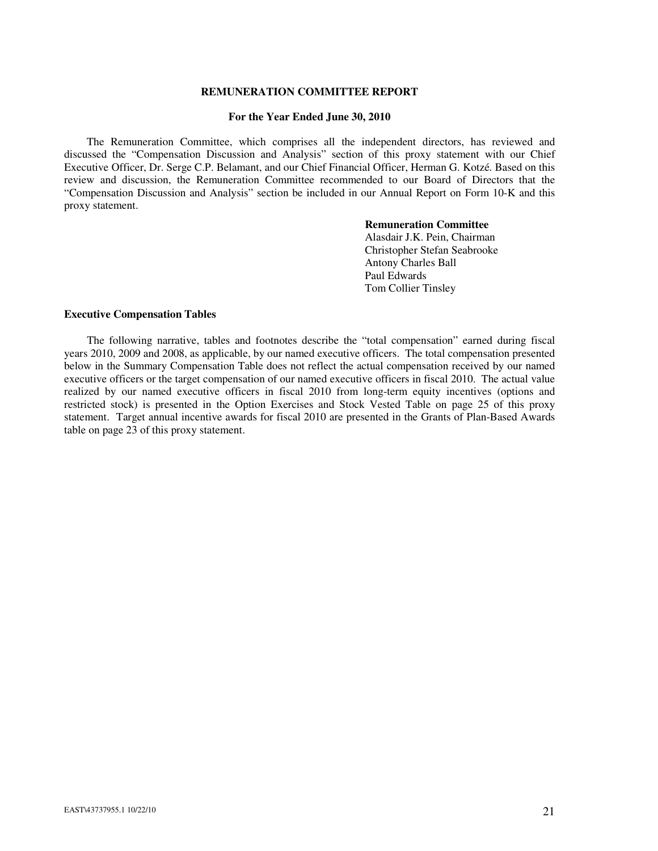## **REMUNERATION COMMITTEE REPORT**

#### **For the Year Ended June 30, 2010**

The Remuneration Committee, which comprises all the independent directors, has reviewed and discussed the "Compensation Discussion and Analysis" section of this proxy statement with our Chief Executive Officer, Dr. Serge C.P. Belamant, and our Chief Financial Officer, Herman G. Kotzé. Based on this review and discussion, the Remuneration Committee recommended to our Board of Directors that the "Compensation Discussion and Analysis" section be included in our Annual Report on Form 10-K and this proxy statement.

### **Remuneration Committee**

Alasdair J.K. Pein, Chairman Christopher Stefan Seabrooke Antony Charles Ball Paul Edwards Tom Collier Tinsley

# **Executive Compensation Tables**

The following narrative, tables and footnotes describe the "total compensation" earned during fiscal years 2010, 2009 and 2008, as applicable, by our named executive officers. The total compensation presented below in the Summary Compensation Table does not reflect the actual compensation received by our named executive officers or the target compensation of our named executive officers in fiscal 2010. The actual value realized by our named executive officers in fiscal 2010 from long-term equity incentives (options and restricted stock) is presented in the Option Exercises and Stock Vested Table on page 25 of this proxy statement. Target annual incentive awards for fiscal 2010 are presented in the Grants of Plan-Based Awards table on page 23 of this proxy statement.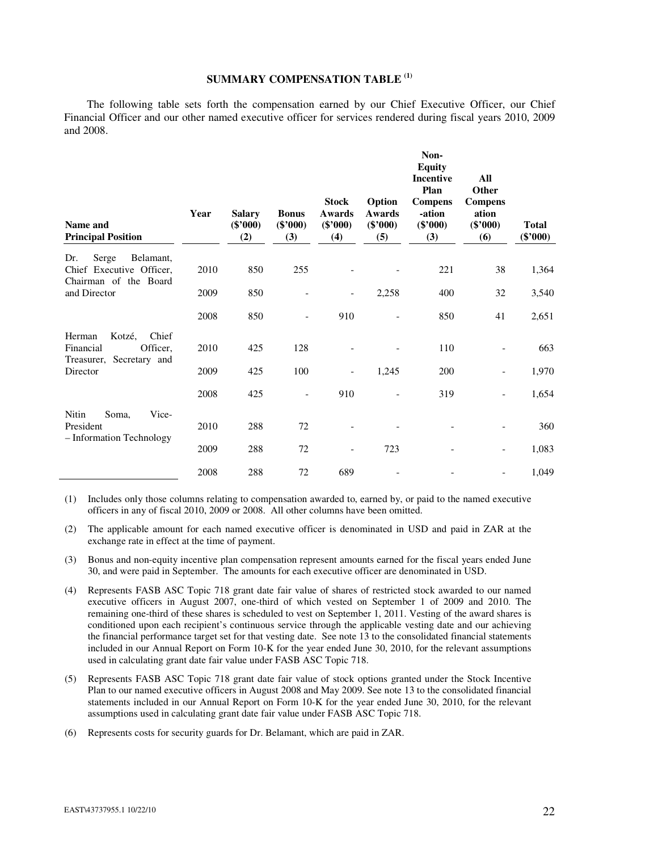# **SUMMARY COMPENSATION TABLE (1)**

The following table sets forth the compensation earned by our Chief Executive Officer, our Chief Financial Officer and our other named executive officer for services rendered during fiscal years 2010, 2009 and 2008.

| Name and<br><b>Principal Position</b>                                             | Year | <b>Salary</b><br>$(\$'000)$<br>(2) | <b>Bonus</b><br>$(\$'000)$<br>(3) | <b>Stock</b><br>Awards<br>$(\$'000)$<br>(4) | Option<br><b>Awards</b><br>$(\$'000)$<br>(5) | Non-<br><b>Equity</b><br><b>Incentive</b><br>Plan<br><b>Compens</b><br>-ation<br>$(\$'000)$<br>(3) | All<br>Other<br><b>Compens</b><br>ation<br>$(\$'000)$<br>(6) | <b>Total</b><br>$(\$'000)$ |
|-----------------------------------------------------------------------------------|------|------------------------------------|-----------------------------------|---------------------------------------------|----------------------------------------------|----------------------------------------------------------------------------------------------------|--------------------------------------------------------------|----------------------------|
| Dr.<br>Serge<br>Belamant,<br>Chief Executive Officer,<br>Chairman of the Board    | 2010 | 850                                | 255                               |                                             |                                              | 221                                                                                                | 38                                                           | 1,364                      |
| and Director                                                                      | 2009 | 850                                |                                   | $\overline{\phantom{a}}$                    | 2,258                                        | 400                                                                                                | 32                                                           | 3,540                      |
|                                                                                   | 2008 | 850                                |                                   | 910                                         |                                              | 850                                                                                                | 41                                                           | 2,651                      |
| Kotzé,<br>Chief<br>Herman<br>Financial<br>Officer,<br>Secretary and<br>Treasurer, | 2010 | 425                                | 128                               |                                             |                                              | 110                                                                                                |                                                              | 663                        |
| Director                                                                          | 2009 | 425                                | 100                               | $\overline{\phantom{a}}$                    | 1,245                                        | 200                                                                                                |                                                              | 1,970                      |
|                                                                                   | 2008 | 425                                | $\overline{\phantom{a}}$          | 910                                         |                                              | 319                                                                                                |                                                              | 1,654                      |
| Nitin<br>Soma,<br>Vice-<br>President<br>- Information Technology                  | 2010 | 288                                | 72                                |                                             |                                              |                                                                                                    |                                                              | 360                        |
|                                                                                   | 2009 | 288                                | 72                                |                                             | 723                                          |                                                                                                    |                                                              | 1,083                      |
|                                                                                   | 2008 | 288                                | 72                                | 689                                         |                                              |                                                                                                    |                                                              | 1,049                      |

(1) Includes only those columns relating to compensation awarded to, earned by, or paid to the named executive officers in any of fiscal 2010, 2009 or 2008. All other columns have been omitted.

- (2) The applicable amount for each named executive officer is denominated in USD and paid in ZAR at the exchange rate in effect at the time of payment.
- (3) Bonus and non-equity incentive plan compensation represent amounts earned for the fiscal years ended June 30, and were paid in September. The amounts for each executive officer are denominated in USD.
- (4) Represents FASB ASC Topic 718 grant date fair value of shares of restricted stock awarded to our named executive officers in August 2007, one-third of which vested on September 1 of 2009 and 2010. The remaining one-third of these shares is scheduled to vest on September 1, 2011. Vesting of the award shares is conditioned upon each recipient's continuous service through the applicable vesting date and our achieving the financial performance target set for that vesting date. See note 13 to the consolidated financial statements included in our Annual Report on Form 10-K for the year ended June 30, 2010, for the relevant assumptions used in calculating grant date fair value under FASB ASC Topic 718.
- (5) Represents FASB ASC Topic 718 grant date fair value of stock options granted under the Stock Incentive Plan to our named executive officers in August 2008 and May 2009. See note 13 to the consolidated financial statements included in our Annual Report on Form 10-K for the year ended June 30, 2010, for the relevant assumptions used in calculating grant date fair value under FASB ASC Topic 718.
- (6) Represents costs for security guards for Dr. Belamant, which are paid in ZAR.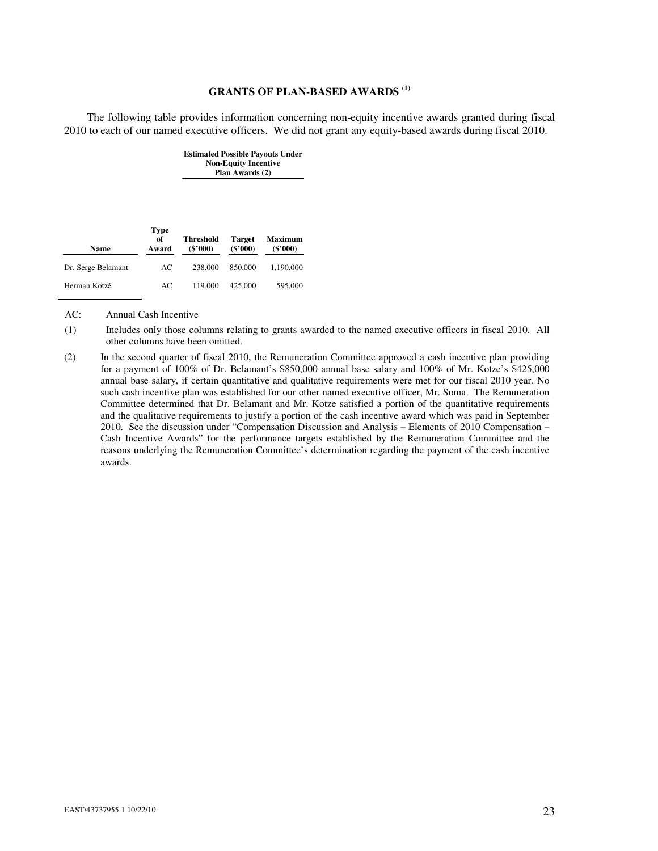# **GRANTS OF PLAN-BASED AWARDS (1)**

The following table provides information concerning non-equity incentive awards granted during fiscal 2010 to each of our named executive officers. We did not grant any equity-based awards during fiscal 2010.

| Name               | <b>Type</b><br>of<br>Award | Threshold<br>$(\$'000)$ | <b>Target</b><br>$(\$'000)$ | <b>Maximum</b><br>$(\$'000)$ |
|--------------------|----------------------------|-------------------------|-----------------------------|------------------------------|
|                    |                            |                         |                             |                              |
| Dr. Serge Belamant | AC                         | 238,000                 | 850,000                     | 1,190,000                    |

Herman Kotzé AC 119,000 425,000 595,000

**Estimated Possible Payouts Under Non-Equity Incentive Plan Awards (2)** 

AC: Annual Cash Incentive

(1) Includes only those columns relating to grants awarded to the named executive officers in fiscal 2010. All other columns have been omitted.

(2) In the second quarter of fiscal 2010, the Remuneration Committee approved a cash incentive plan providing for a payment of 100% of Dr. Belamant's \$850,000 annual base salary and 100% of Mr. Kotze's \$425,000 annual base salary, if certain quantitative and qualitative requirements were met for our fiscal 2010 year. No such cash incentive plan was established for our other named executive officer, Mr. Soma. The Remuneration Committee determined that Dr. Belamant and Mr. Kotze satisfied a portion of the quantitative requirements and the qualitative requirements to justify a portion of the cash incentive award which was paid in September 2010. See the discussion under "Compensation Discussion and Analysis – Elements of 2010 Compensation – Cash Incentive Awards" for the performance targets established by the Remuneration Committee and the reasons underlying the Remuneration Committee's determination regarding the payment of the cash incentive awards.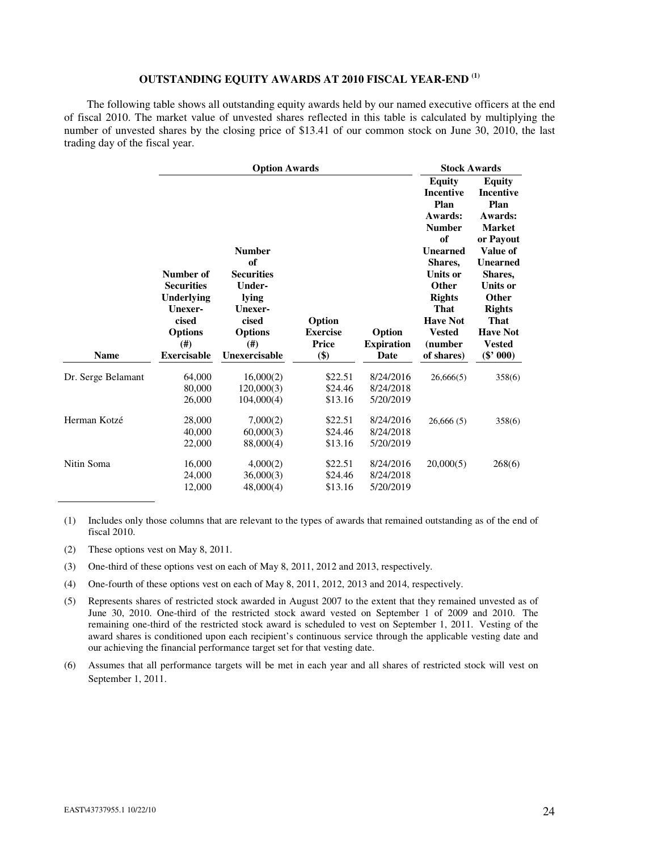# **OUTSTANDING EQUITY AWARDS AT 2010 FISCAL YEAR-END (1)**

The following table shows all outstanding equity awards held by our named executive officers at the end of fiscal 2010. The market value of unvested shares reflected in this table is calculated by multiplying the number of unvested shares by the closing price of \$13.41 of our common stock on June 30, 2010, the last trading day of the fiscal year.

|                    | <b>Option Awards</b>                                                                                            |                                                                                                                           |                                           | <b>Stock Awards</b>                 |                                                                                                                                                                                                                             |                                                                                                                                                                                                                                      |
|--------------------|-----------------------------------------------------------------------------------------------------------------|---------------------------------------------------------------------------------------------------------------------------|-------------------------------------------|-------------------------------------|-----------------------------------------------------------------------------------------------------------------------------------------------------------------------------------------------------------------------------|--------------------------------------------------------------------------------------------------------------------------------------------------------------------------------------------------------------------------------------|
| <b>Name</b>        | Number of<br><b>Securities</b><br>Underlying<br>Unexer-<br>cised<br><b>Options</b><br>(#)<br><b>Exercisable</b> | <b>Number</b><br>of<br><b>Securities</b><br>Under-<br>lying<br>Unexer-<br>cised<br><b>Options</b><br>(#)<br>Unexercisable | Option<br><b>Exercise</b><br>Price<br>\$) | Option<br><b>Expiration</b><br>Date | <b>Equity</b><br>Incentive<br>Plan<br>Awards:<br><b>Number</b><br>of<br><b>Unearned</b><br>Shares,<br><b>Units or</b><br>Other<br><b>Rights</b><br><b>That</b><br><b>Have Not</b><br><b>Vested</b><br>(number<br>of shares) | <b>Equity</b><br><b>Incentive</b><br>Plan<br>Awards:<br><b>Market</b><br>or Payout<br>Value of<br><b>Unearned</b><br>Shares.<br><b>Units or</b><br>Other<br><b>Rights</b><br>That<br><b>Have Not</b><br><b>Vested</b><br>$(\$' 000)$ |
| Dr. Serge Belamant | 64,000<br>80,000<br>26,000                                                                                      | 16,000(2)<br>120,000(3)<br>104,000(4)                                                                                     | \$22.51<br>\$24.46<br>\$13.16             | 8/24/2016<br>8/24/2018<br>5/20/2019 | 26,666(5)                                                                                                                                                                                                                   | 358(6)                                                                                                                                                                                                                               |
| Herman Kotzé       | 28,000<br>40,000<br>22,000                                                                                      | 7,000(2)<br>60,000(3)<br>88,000(4)                                                                                        | \$22.51<br>\$24.46<br>\$13.16             | 8/24/2016<br>8/24/2018<br>5/20/2019 | 26,666(5)                                                                                                                                                                                                                   | 358(6)                                                                                                                                                                                                                               |
| Nitin Soma         | 16,000<br>24,000<br>12,000                                                                                      | 4,000(2)<br>36,000(3)<br>48,000(4)                                                                                        | \$22.51<br>\$24.46<br>\$13.16             | 8/24/2016<br>8/24/2018<br>5/20/2019 | 20,000(5)                                                                                                                                                                                                                   | 268(6)                                                                                                                                                                                                                               |

(1) Includes only those columns that are relevant to the types of awards that remained outstanding as of the end of fiscal 2010.

- (2) These options vest on May 8, 2011.
- (3) One-third of these options vest on each of May 8, 2011, 2012 and 2013, respectively.
- (4) One-fourth of these options vest on each of May 8, 2011, 2012, 2013 and 2014, respectively.
- (5) Represents shares of restricted stock awarded in August 2007 to the extent that they remained unvested as of June 30, 2010. One-third of the restricted stock award vested on September 1 of 2009 and 2010. The remaining one-third of the restricted stock award is scheduled to vest on September 1, 2011. Vesting of the award shares is conditioned upon each recipient's continuous service through the applicable vesting date and our achieving the financial performance target set for that vesting date.
- (6) Assumes that all performance targets will be met in each year and all shares of restricted stock will vest on September 1, 2011.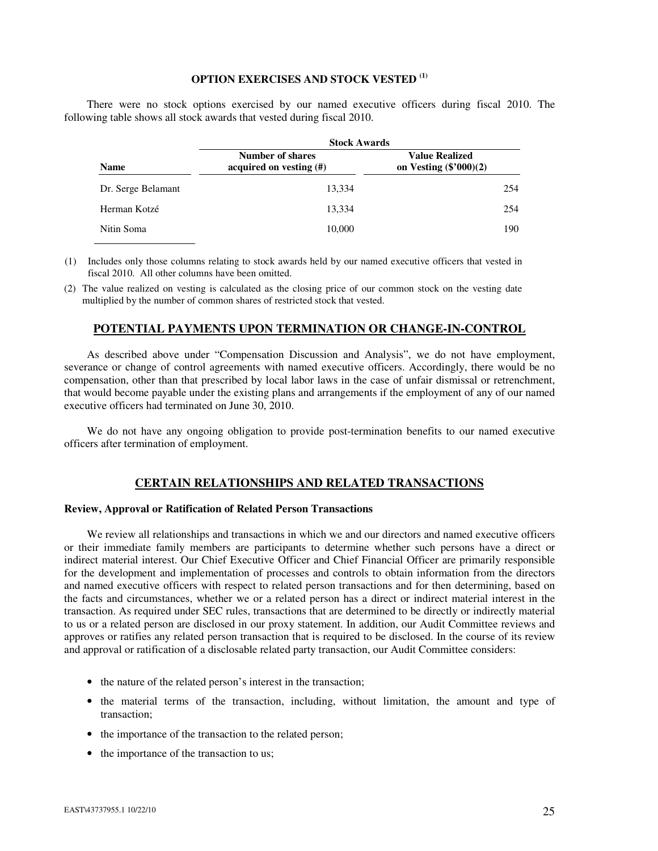# **OPTION EXERCISES AND STOCK VESTED (1)**

There were no stock options exercised by our named executive officers during fiscal 2010. The following table shows all stock awards that vested during fiscal 2010.

|                    | <b>Stock Awards</b>                                |                                                   |  |  |
|--------------------|----------------------------------------------------|---------------------------------------------------|--|--|
| <b>Name</b>        | <b>Number of shares</b><br>acquired on vesting (#) | <b>Value Realized</b><br>on Vesting $(\$'000)(2)$ |  |  |
| Dr. Serge Belamant | 13.334                                             | 254                                               |  |  |
| Herman Kotzé       | 13.334                                             | 254                                               |  |  |
| Nitin Soma         | 10,000                                             | 190                                               |  |  |

(1) Includes only those columns relating to stock awards held by our named executive officers that vested in fiscal 2010. All other columns have been omitted.

(2) The value realized on vesting is calculated as the closing price of our common stock on the vesting date multiplied by the number of common shares of restricted stock that vested.

# **POTENTIAL PAYMENTS UPON TERMINATION OR CHANGE-IN-CONTROL**

As described above under "Compensation Discussion and Analysis", we do not have employment, severance or change of control agreements with named executive officers. Accordingly, there would be no compensation, other than that prescribed by local labor laws in the case of unfair dismissal or retrenchment, that would become payable under the existing plans and arrangements if the employment of any of our named executive officers had terminated on June 30, 2010.

We do not have any ongoing obligation to provide post-termination benefits to our named executive officers after termination of employment.

### **CERTAIN RELATIONSHIPS AND RELATED TRANSACTIONS**

### **Review, Approval or Ratification of Related Person Transactions**

We review all relationships and transactions in which we and our directors and named executive officers or their immediate family members are participants to determine whether such persons have a direct or indirect material interest. Our Chief Executive Officer and Chief Financial Officer are primarily responsible for the development and implementation of processes and controls to obtain information from the directors and named executive officers with respect to related person transactions and for then determining, based on the facts and circumstances, whether we or a related person has a direct or indirect material interest in the transaction. As required under SEC rules, transactions that are determined to be directly or indirectly material to us or a related person are disclosed in our proxy statement. In addition, our Audit Committee reviews and approves or ratifies any related person transaction that is required to be disclosed. In the course of its review and approval or ratification of a disclosable related party transaction, our Audit Committee considers:

- the nature of the related person's interest in the transaction;
- the material terms of the transaction, including, without limitation, the amount and type of transaction;
- the importance of the transaction to the related person;
- the importance of the transaction to us;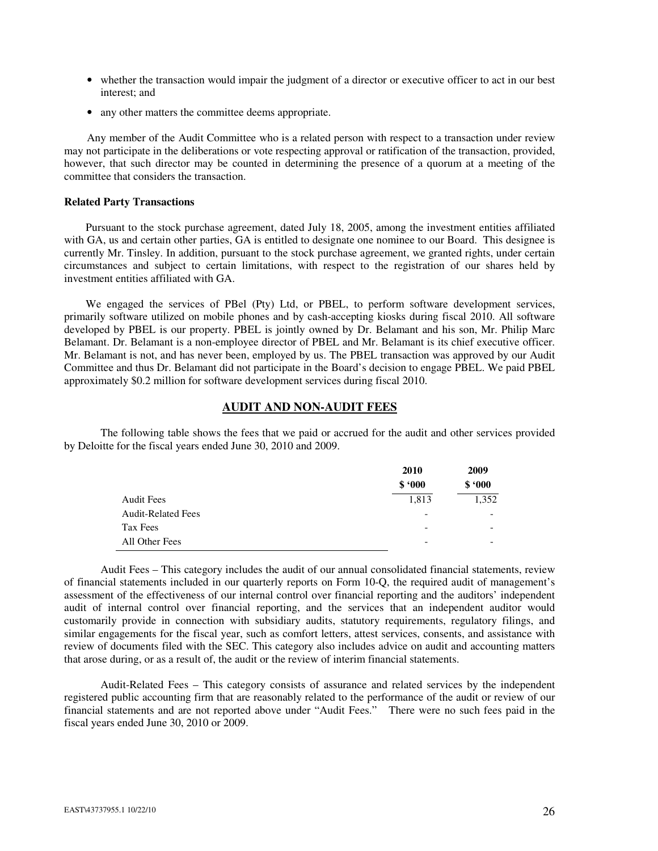- whether the transaction would impair the judgment of a director or executive officer to act in our best interest; and
- any other matters the committee deems appropriate.

Any member of the Audit Committee who is a related person with respect to a transaction under review may not participate in the deliberations or vote respecting approval or ratification of the transaction, provided, however, that such director may be counted in determining the presence of a quorum at a meeting of the committee that considers the transaction.

# **Related Party Transactions**

Pursuant to the stock purchase agreement, dated July 18, 2005, among the investment entities affiliated with GA, us and certain other parties, GA is entitled to designate one nominee to our Board. This designee is currently Mr. Tinsley. In addition, pursuant to the stock purchase agreement, we granted rights, under certain circumstances and subject to certain limitations, with respect to the registration of our shares held by investment entities affiliated with GA.

We engaged the services of PBel (Pty) Ltd, or PBEL, to perform software development services, primarily software utilized on mobile phones and by cash-accepting kiosks during fiscal 2010. All software developed by PBEL is our property. PBEL is jointly owned by Dr. Belamant and his son, Mr. Philip Marc Belamant. Dr. Belamant is a non-employee director of PBEL and Mr. Belamant is its chief executive officer. Mr. Belamant is not, and has never been, employed by us. The PBEL transaction was approved by our Audit Committee and thus Dr. Belamant did not participate in the Board's decision to engage PBEL. We paid PBEL approximately \$0.2 million for software development services during fiscal 2010.

# **AUDIT AND NON-AUDIT FEES**

The following table shows the fees that we paid or accrued for the audit and other services provided by Deloitte for the fiscal years ended June 30, 2010 and 2009.

|                           | 2010                     | 2009                     |  |
|---------------------------|--------------------------|--------------------------|--|
|                           | \$.000                   | \$.000                   |  |
| <b>Audit Fees</b>         | 1,813                    | 1,352                    |  |
| <b>Audit-Related Fees</b> | $\overline{\phantom{a}}$ | $\overline{\phantom{a}}$ |  |
| Tax Fees                  | $\overline{\phantom{a}}$ |                          |  |
| All Other Fees            |                          |                          |  |

Audit Fees – This category includes the audit of our annual consolidated financial statements, review of financial statements included in our quarterly reports on Form 10-Q, the required audit of management's assessment of the effectiveness of our internal control over financial reporting and the auditors' independent audit of internal control over financial reporting, and the services that an independent auditor would customarily provide in connection with subsidiary audits, statutory requirements, regulatory filings, and similar engagements for the fiscal year, such as comfort letters, attest services, consents, and assistance with review of documents filed with the SEC. This category also includes advice on audit and accounting matters that arose during, or as a result of, the audit or the review of interim financial statements.

Audit-Related Fees – This category consists of assurance and related services by the independent registered public accounting firm that are reasonably related to the performance of the audit or review of our financial statements and are not reported above under "Audit Fees." There were no such fees paid in the fiscal years ended June 30, 2010 or 2009.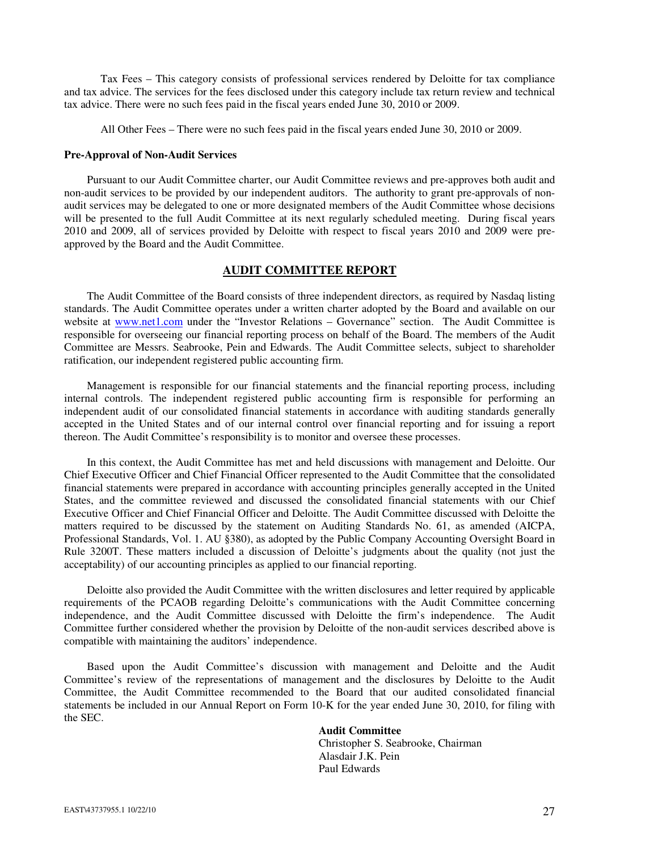Tax Fees – This category consists of professional services rendered by Deloitte for tax compliance and tax advice. The services for the fees disclosed under this category include tax return review and technical tax advice. There were no such fees paid in the fiscal years ended June 30, 2010 or 2009.

All Other Fees – There were no such fees paid in the fiscal years ended June 30, 2010 or 2009.

#### **Pre-Approval of Non-Audit Services**

Pursuant to our Audit Committee charter, our Audit Committee reviews and pre-approves both audit and non-audit services to be provided by our independent auditors. The authority to grant pre-approvals of nonaudit services may be delegated to one or more designated members of the Audit Committee whose decisions will be presented to the full Audit Committee at its next regularly scheduled meeting. During fiscal years 2010 and 2009, all of services provided by Deloitte with respect to fiscal years 2010 and 2009 were preapproved by the Board and the Audit Committee.

# **AUDIT COMMITTEE REPORT**

The Audit Committee of the Board consists of three independent directors, as required by Nasdaq listing standards. The Audit Committee operates under a written charter adopted by the Board and available on our website at www.net1.com under the "Investor Relations – Governance" section. The Audit Committee is responsible for overseeing our financial reporting process on behalf of the Board. The members of the Audit Committee are Messrs. Seabrooke, Pein and Edwards. The Audit Committee selects, subject to shareholder ratification, our independent registered public accounting firm.

Management is responsible for our financial statements and the financial reporting process, including internal controls. The independent registered public accounting firm is responsible for performing an independent audit of our consolidated financial statements in accordance with auditing standards generally accepted in the United States and of our internal control over financial reporting and for issuing a report thereon. The Audit Committee's responsibility is to monitor and oversee these processes.

In this context, the Audit Committee has met and held discussions with management and Deloitte. Our Chief Executive Officer and Chief Financial Officer represented to the Audit Committee that the consolidated financial statements were prepared in accordance with accounting principles generally accepted in the United States, and the committee reviewed and discussed the consolidated financial statements with our Chief Executive Officer and Chief Financial Officer and Deloitte. The Audit Committee discussed with Deloitte the matters required to be discussed by the statement on Auditing Standards No. 61, as amended (AICPA, Professional Standards, Vol. 1. AU §380), as adopted by the Public Company Accounting Oversight Board in Rule 3200T. These matters included a discussion of Deloitte's judgments about the quality (not just the acceptability) of our accounting principles as applied to our financial reporting.

Deloitte also provided the Audit Committee with the written disclosures and letter required by applicable requirements of the PCAOB regarding Deloitte's communications with the Audit Committee concerning independence, and the Audit Committee discussed with Deloitte the firm's independence. The Audit Committee further considered whether the provision by Deloitte of the non-audit services described above is compatible with maintaining the auditors' independence.

Based upon the Audit Committee's discussion with management and Deloitte and the Audit Committee's review of the representations of management and the disclosures by Deloitte to the Audit Committee, the Audit Committee recommended to the Board that our audited consolidated financial statements be included in our Annual Report on Form 10-K for the year ended June 30, 2010, for filing with the SEC.

### **Audit Committee**

Christopher S. Seabrooke, Chairman Alasdair J.K. Pein Paul Edwards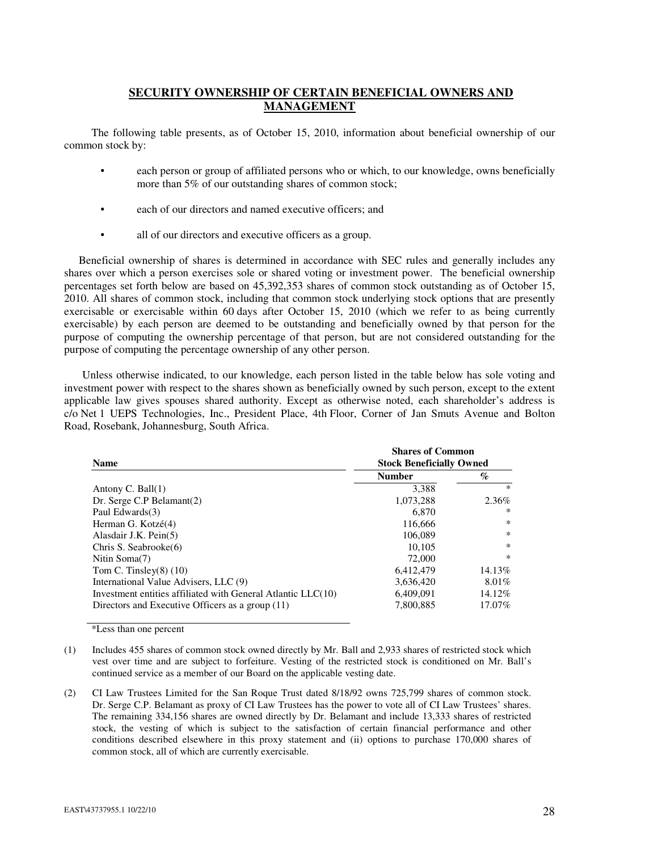# **SECURITY OWNERSHIP OF CERTAIN BENEFICIAL OWNERS AND MANAGEMENT**

The following table presents, as of October 15, 2010, information about beneficial ownership of our common stock by:

- each person or group of affiliated persons who or which, to our knowledge, owns beneficially more than 5% of our outstanding shares of common stock;
- each of our directors and named executive officers; and
- all of our directors and executive officers as a group.

Beneficial ownership of shares is determined in accordance with SEC rules and generally includes any shares over which a person exercises sole or shared voting or investment power. The beneficial ownership percentages set forth below are based on 45,392,353 shares of common stock outstanding as of October 15, 2010. All shares of common stock, including that common stock underlying stock options that are presently exercisable or exercisable within 60 days after October 15, 2010 (which we refer to as being currently exercisable) by each person are deemed to be outstanding and beneficially owned by that person for the purpose of computing the ownership percentage of that person, but are not considered outstanding for the purpose of computing the percentage ownership of any other person.

Unless otherwise indicated, to our knowledge, each person listed in the table below has sole voting and investment power with respect to the shares shown as beneficially owned by such person, except to the extent applicable law gives spouses shared authority. Except as otherwise noted, each shareholder's address is c/o Net 1 UEPS Technologies, Inc., President Place, 4th Floor, Corner of Jan Smuts Avenue and Bolton Road, Rosebank, Johannesburg, South Africa.

| <b>Name</b>                                                  | <b>Shares of Common</b><br><b>Stock Beneficially Owned</b> |          |  |
|--------------------------------------------------------------|------------------------------------------------------------|----------|--|
|                                                              | <b>Number</b>                                              | $\%$     |  |
| Antony C. Ball $(1)$                                         | 3.388                                                      | $*$      |  |
| Dr. Serge C.P Belamant(2)                                    | 1,073,288                                                  | 2.36%    |  |
| Paul Edwards(3)                                              | 6.870                                                      | ∗        |  |
| Herman G. Kotzé(4)                                           | 116,666                                                    | *        |  |
| Alasdair J.K. Pein(5)                                        | 106,089                                                    | *        |  |
| Chris S. Seabrooke(6)                                        | 10.105                                                     | $\ast$   |  |
| Nitin Soma(7)                                                | 72,000                                                     | *        |  |
| Tom C. Tinsley $(8)$ $(10)$                                  | 6,412,479                                                  | 14.13%   |  |
| International Value Advisers, LLC (9)                        | 3.636.420                                                  | $8.01\%$ |  |
| Investment entities affiliated with General Atlantic LLC(10) | 6.409.091                                                  | 14.12%   |  |
| Directors and Executive Officers as a group (11)             | 7.800.885                                                  | 17.07%   |  |

\*Less than one percent

<sup>(1)</sup> Includes 455 shares of common stock owned directly by Mr. Ball and 2,933 shares of restricted stock which vest over time and are subject to forfeiture. Vesting of the restricted stock is conditioned on Mr. Ball's continued service as a member of our Board on the applicable vesting date.

<sup>(2)</sup> CI Law Trustees Limited for the San Roque Trust dated 8/18/92 owns 725,799 shares of common stock. Dr. Serge C.P. Belamant as proxy of CI Law Trustees has the power to vote all of CI Law Trustees' shares. The remaining 334,156 shares are owned directly by Dr. Belamant and include 13,333 shares of restricted stock, the vesting of which is subject to the satisfaction of certain financial performance and other conditions described elsewhere in this proxy statement and (ii) options to purchase 170,000 shares of common stock, all of which are currently exercisable.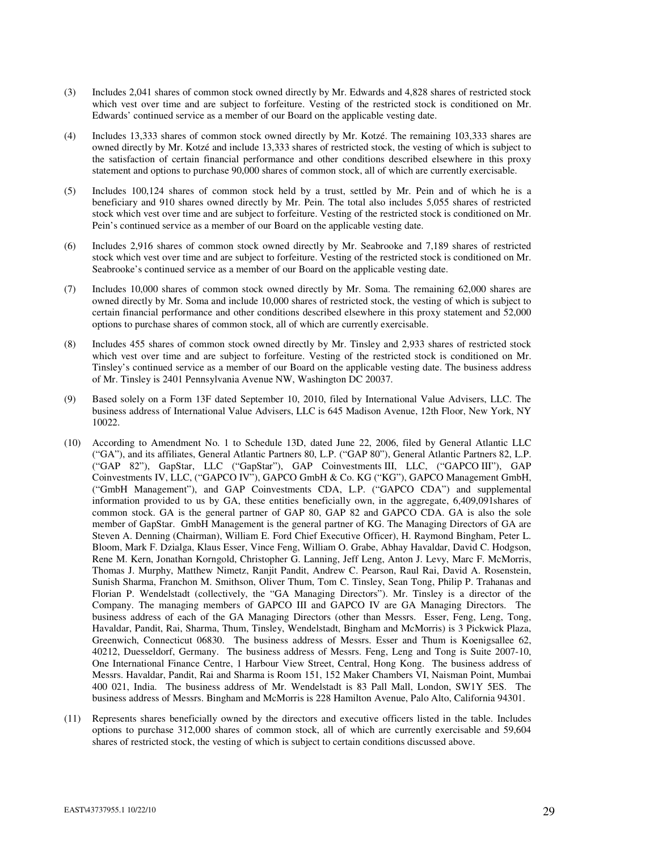- (3) Includes 2,041 shares of common stock owned directly by Mr. Edwards and 4,828 shares of restricted stock which vest over time and are subject to forfeiture. Vesting of the restricted stock is conditioned on Mr. Edwards' continued service as a member of our Board on the applicable vesting date.
- (4) Includes 13,333 shares of common stock owned directly by Mr. Kotzé. The remaining 103,333 shares are owned directly by Mr. Kotzé and include 13,333 shares of restricted stock, the vesting of which is subject to the satisfaction of certain financial performance and other conditions described elsewhere in this proxy statement and options to purchase 90,000 shares of common stock, all of which are currently exercisable.
- (5) Includes 100,124 shares of common stock held by a trust, settled by Mr. Pein and of which he is a beneficiary and 910 shares owned directly by Mr. Pein. The total also includes 5,055 shares of restricted stock which vest over time and are subject to forfeiture. Vesting of the restricted stock is conditioned on Mr. Pein's continued service as a member of our Board on the applicable vesting date.
- (6) Includes 2,916 shares of common stock owned directly by Mr. Seabrooke and 7,189 shares of restricted stock which vest over time and are subject to forfeiture. Vesting of the restricted stock is conditioned on Mr. Seabrooke's continued service as a member of our Board on the applicable vesting date.
- (7) Includes 10,000 shares of common stock owned directly by Mr. Soma. The remaining 62,000 shares are owned directly by Mr. Soma and include 10,000 shares of restricted stock, the vesting of which is subject to certain financial performance and other conditions described elsewhere in this proxy statement and 52,000 options to purchase shares of common stock, all of which are currently exercisable.
- (8) Includes 455 shares of common stock owned directly by Mr. Tinsley and 2,933 shares of restricted stock which vest over time and are subject to forfeiture. Vesting of the restricted stock is conditioned on Mr. Tinsley's continued service as a member of our Board on the applicable vesting date. The business address of Mr. Tinsley is 2401 Pennsylvania Avenue NW, Washington DC 20037.
- (9) Based solely on a Form 13F dated September 10, 2010, filed by International Value Advisers, LLC. The business address of International Value Advisers, LLC is 645 Madison Avenue, 12th Floor, New York, NY 10022.
- (10) According to Amendment No. 1 to Schedule 13D, dated June 22, 2006, filed by General Atlantic LLC ("GA"), and its affiliates, General Atlantic Partners 80, L.P. ("GAP 80"), General Atlantic Partners 82, L.P. ("GAP 82"), GapStar, LLC ("GapStar"), GAP Coinvestments III, LLC, ("GAPCO III"), GAP Coinvestments IV, LLC, ("GAPCO IV"), GAPCO GmbH & Co. KG ("KG"), GAPCO Management GmbH, ("GmbH Management"), and GAP Coinvestments CDA, L.P. ("GAPCO CDA") and supplemental information provided to us by GA, these entities beneficially own, in the aggregate, 6,409,091shares of common stock. GA is the general partner of GAP 80, GAP 82 and GAPCO CDA. GA is also the sole member of GapStar. GmbH Management is the general partner of KG. The Managing Directors of GA are Steven A. Denning (Chairman), William E. Ford Chief Executive Officer), H. Raymond Bingham, Peter L. Bloom, Mark F. Dzialga, Klaus Esser, Vince Feng, William O. Grabe, Abhay Havaldar, David C. Hodgson, Rene M. Kern, Jonathan Korngold, Christopher G. Lanning, Jeff Leng, Anton J. Levy, Marc F. McMorris, Thomas J. Murphy, Matthew Nimetz, Ranjit Pandit, Andrew C. Pearson, Raul Rai, David A. Rosenstein, Sunish Sharma, Franchon M. Smithson, Oliver Thum, Tom C. Tinsley, Sean Tong, Philip P. Trahanas and Florian P. Wendelstadt (collectively, the "GA Managing Directors"). Mr. Tinsley is a director of the Company. The managing members of GAPCO III and GAPCO IV are GA Managing Directors. The business address of each of the GA Managing Directors (other than Messrs. Esser, Feng, Leng, Tong, Havaldar, Pandit, Rai, Sharma, Thum, Tinsley, Wendelstadt, Bingham and McMorris) is 3 Pickwick Plaza, Greenwich, Connecticut 06830. The business address of Messrs. Esser and Thum is Koenigsallee 62, 40212, Duesseldorf, Germany. The business address of Messrs. Feng, Leng and Tong is Suite 2007-10, One International Finance Centre, 1 Harbour View Street, Central, Hong Kong. The business address of Messrs. Havaldar, Pandit, Rai and Sharma is Room 151, 152 Maker Chambers VI, Naisman Point, Mumbai 400 021, India. The business address of Mr. Wendelstadt is 83 Pall Mall, London, SW1Y 5ES. The business address of Messrs. Bingham and McMorris is 228 Hamilton Avenue, Palo Alto, California 94301.
- (11) Represents shares beneficially owned by the directors and executive officers listed in the table. Includes options to purchase 312,000 shares of common stock, all of which are currently exercisable and 59,604 shares of restricted stock, the vesting of which is subject to certain conditions discussed above.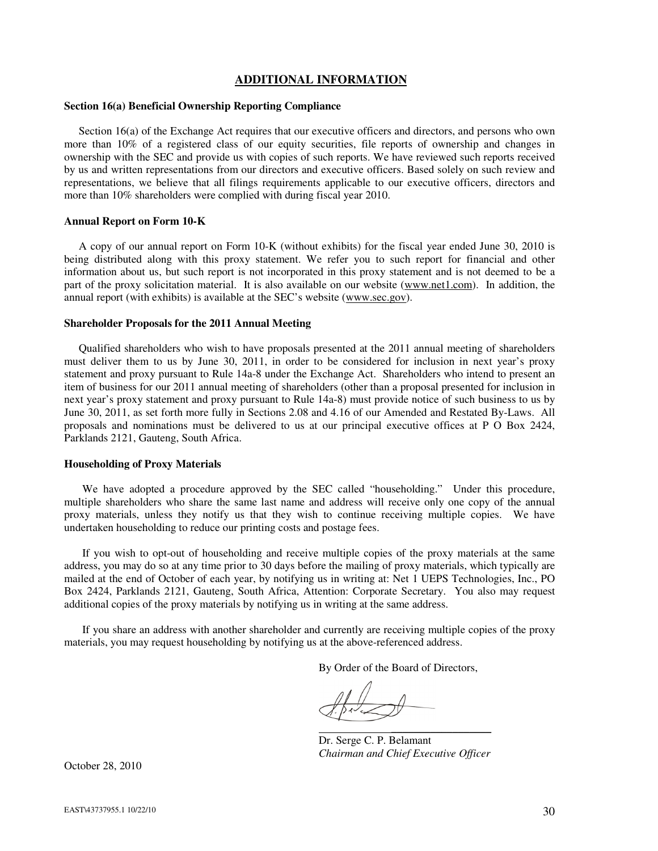# **ADDITIONAL INFORMATION**

### **Section 16(a) Beneficial Ownership Reporting Compliance**

Section 16(a) of the Exchange Act requires that our executive officers and directors, and persons who own more than 10% of a registered class of our equity securities, file reports of ownership and changes in ownership with the SEC and provide us with copies of such reports. We have reviewed such reports received by us and written representations from our directors and executive officers. Based solely on such review and representations, we believe that all filings requirements applicable to our executive officers, directors and more than 10% shareholders were complied with during fiscal year 2010.

#### **Annual Report on Form 10-K**

A copy of our annual report on Form 10-K (without exhibits) for the fiscal year ended June 30, 2010 is being distributed along with this proxy statement. We refer you to such report for financial and other information about us, but such report is not incorporated in this proxy statement and is not deemed to be a part of the proxy solicitation material. It is also available on our website (www.net1.com). In addition, the annual report (with exhibits) is available at the SEC's website (www.sec.gov).

#### **Shareholder Proposals for the 2011 Annual Meeting**

Qualified shareholders who wish to have proposals presented at the 2011 annual meeting of shareholders must deliver them to us by June 30, 2011, in order to be considered for inclusion in next year's proxy statement and proxy pursuant to Rule 14a-8 under the Exchange Act. Shareholders who intend to present an item of business for our 2011 annual meeting of shareholders (other than a proposal presented for inclusion in next year's proxy statement and proxy pursuant to Rule 14a-8) must provide notice of such business to us by June 30, 2011, as set forth more fully in Sections 2.08 and 4.16 of our Amended and Restated By-Laws. All proposals and nominations must be delivered to us at our principal executive offices at P O Box 2424, Parklands 2121, Gauteng, South Africa.

### **Householding of Proxy Materials**

We have adopted a procedure approved by the SEC called "householding." Under this procedure, multiple shareholders who share the same last name and address will receive only one copy of the annual proxy materials, unless they notify us that they wish to continue receiving multiple copies. We have undertaken householding to reduce our printing costs and postage fees.

If you wish to opt-out of householding and receive multiple copies of the proxy materials at the same address, you may do so at any time prior to 30 days before the mailing of proxy materials, which typically are mailed at the end of October of each year, by notifying us in writing at: Net 1 UEPS Technologies, Inc., PO Box 2424, Parklands 2121, Gauteng, South Africa, Attention: Corporate Secretary. You also may request additional copies of the proxy materials by notifying us in writing at the same address.

If you share an address with another shareholder and currently are receiving multiple copies of the proxy materials, you may request householding by notifying us at the above-referenced address.

By Order of the Board of Directors,

\_\_\_\_\_\_\_\_\_\_\_\_\_\_\_\_\_\_

Dr. Serge C. P. Belamant *Chairman and Chief Executive Officer* 

October 28, 2010